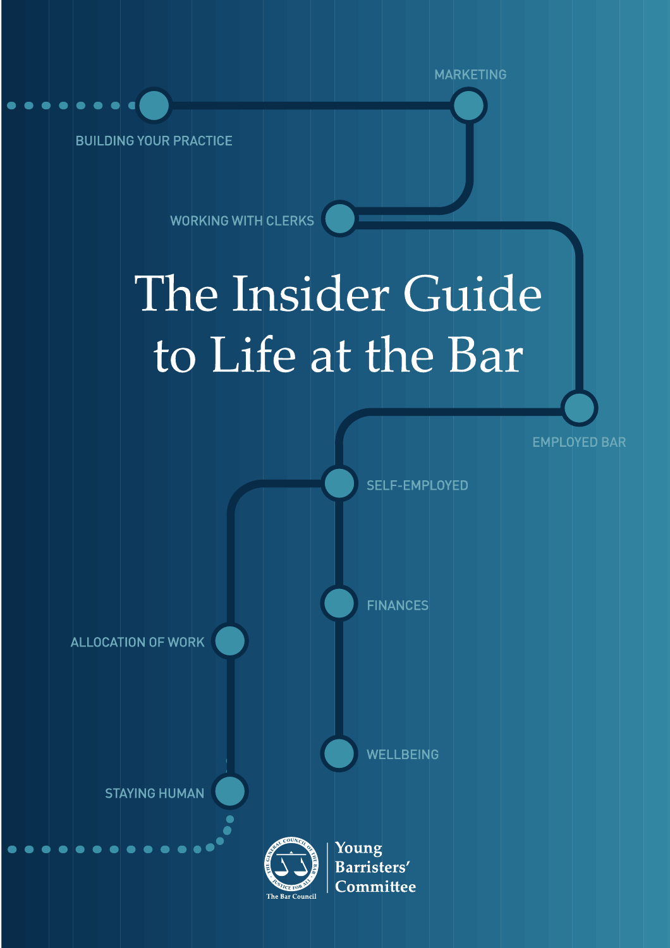**BUILDING YOUR PRACTICE** 

**WORKING WITH CLERKS** 

# The Insider Guide to Life at the Bar

**MARKETING** 

**EMPLOYED BAR** 

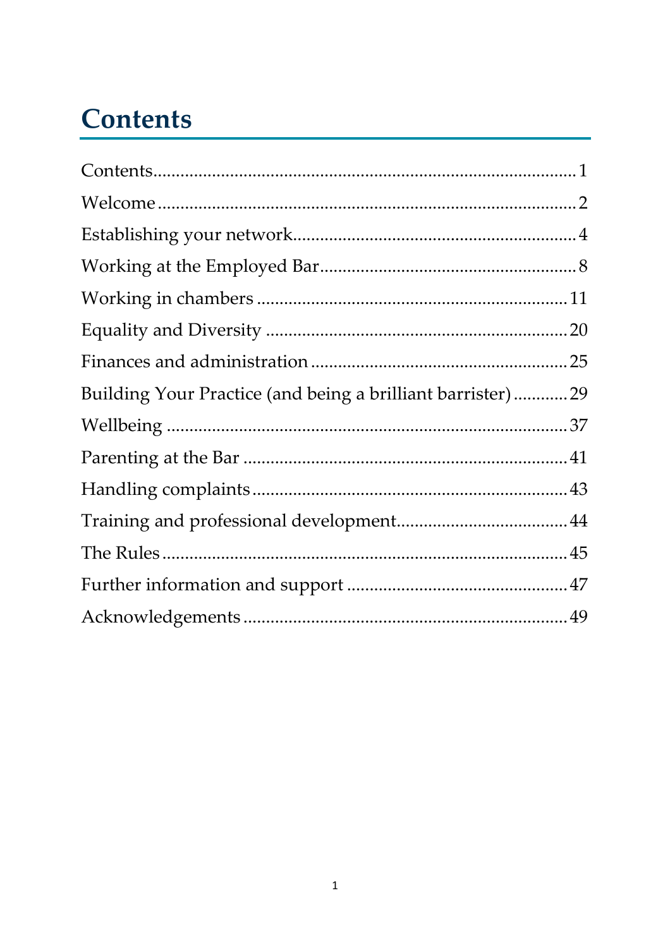# <span id="page-1-0"></span>**Contents**

| Building Your Practice (and being a brilliant barrister)29 |  |
|------------------------------------------------------------|--|
|                                                            |  |
|                                                            |  |
|                                                            |  |
|                                                            |  |
|                                                            |  |
|                                                            |  |
|                                                            |  |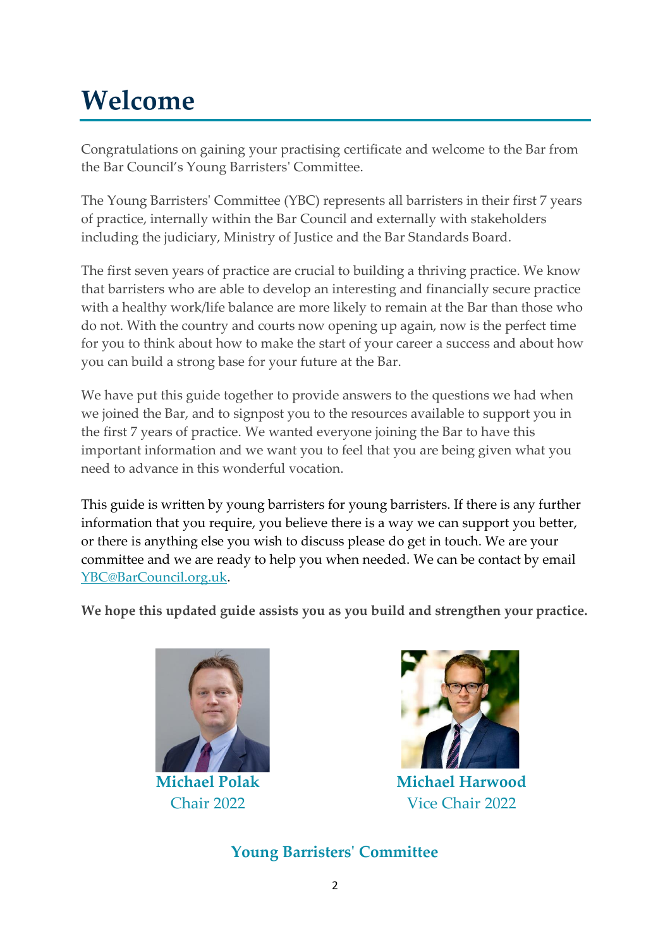# <span id="page-2-0"></span>**Welcome**

Congratulations on gaining your practising certificate and welcome to the Bar from the Bar Council's Young Barristers' Committee.

The Young Barristers' Committee (YBC) represents all barristers in their first 7 years of practice, internally within the Bar Council and externally with stakeholders including the judiciary, Ministry of Justice and the Bar Standards Board.

The first seven years of practice are crucial to building a thriving practice. We know that barristers who are able to develop an interesting and financially secure practice with a healthy work/life balance are more likely to remain at the Bar than those who do not. With the country and courts now opening up again, now is the perfect time for you to think about how to make the start of your career a success and about how you can build a strong base for your future at the Bar.

We have put this guide together to provide answers to the questions we had when we joined the Bar, and to signpost you to the resources available to support you in the first 7 years of practice. We wanted everyone joining the Bar to have this important information and we want you to feel that you are being given what you need to advance in this wonderful vocation.

This guide is written by young barristers for young barristers. If there is any further information that you require, you believe there is a way we can support you better, or there is anything else you wish to discuss please do get in touch. We are your committee and we are ready to help you when needed. We can be contact by email [YBC@BarCouncil.org.uk.](mailto:YBC@BarCouncil.org.uk)

**We hope this updated guide assists you as you build and strengthen your practice.**



**Michael Polak** Chair 2022



**Michael Harwood** Vice Chair 2022

**Young Barristers' Committee**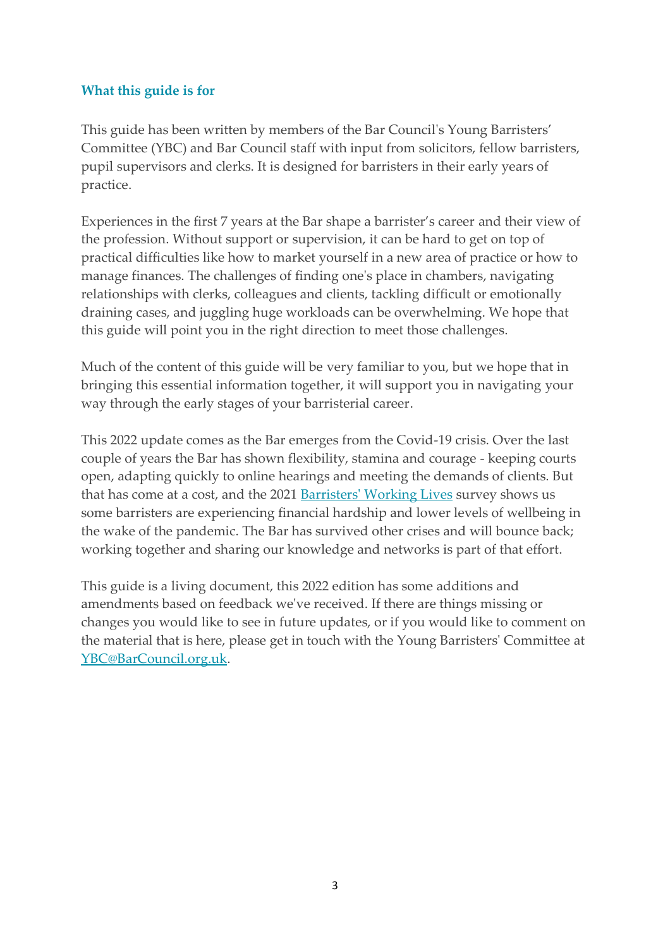# **What this guide is for**

This guide has been written by members of the Bar Council's Young Barristers' Committee (YBC) and Bar Council staff with input from solicitors, fellow barristers, pupil supervisors and clerks. It is designed for barristers in their early years of practice.

Experiences in the first 7 years at the Bar shape a barrister's career and their view of the profession. Without support or supervision, it can be hard to get on top of practical difficulties like how to market yourself in a new area of practice or how to manage finances. The challenges of finding one's place in chambers, navigating relationships with clerks, colleagues and clients, tackling difficult or emotionally draining cases, and juggling huge workloads can be overwhelming. We hope that this guide will point you in the right direction to meet those challenges.

Much of the content of this guide will be very familiar to you, but we hope that in bringing this essential information together, it will support you in navigating your way through the early stages of your barristerial career.

This 2022 update comes as the Bar emerges from the Covid-19 crisis. Over the last couple of years the Bar has shown flexibility, stamina and courage - keeping courts open, adapting quickly to online hearings and meeting the demands of clients. But that has come at a cost, and the 2021 [Barristers' Working Lives](file:///C:/Users/RKrys/Downloads/Barristers%20Working%20Lives%20report%202021.pdf) survey shows us some barristers are experiencing financial hardship and lower levels of wellbeing in the wake of the pandemic. The Bar has survived other crises and will bounce back; working together and sharing our knowledge and networks is part of that effort.

This guide is a living document, this 2022 edition has some additions and amendments based on feedback we've received. If there are things missing or changes you would like to see in future updates, or if you would like to comment on the material that is here, please get in touch with the Young Barristers' Committee at [YBC@BarCouncil.org.uk.](mailto:YBC@BarCouncil.org.uk)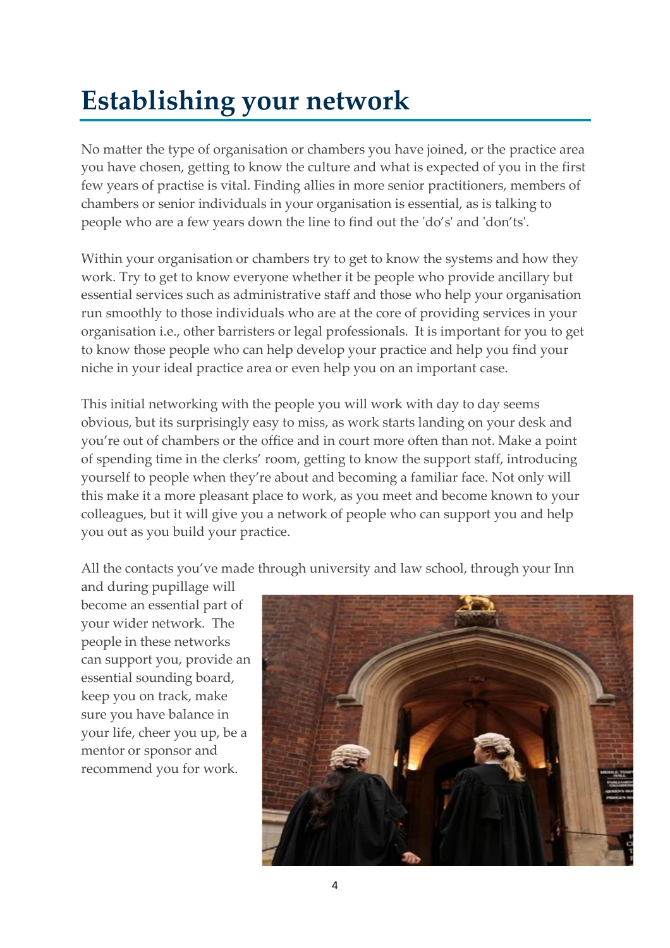# <span id="page-4-0"></span>**Establishing your network**

No matter the type of organisation or chambers you have joined, or the practice area you have chosen, getting to know the culture and what is expected of you in the first few years of practise is vital. Finding allies in more senior practitioners, members of chambers or senior individuals in your organisation is essential, as is talking to people who are a few years down the line to find out the 'do's' and 'don'ts'.

Within your organisation or chambers try to get to know the systems and how they work. Try to get to know everyone whether it be people who provide ancillary but essential services such as administrative staff and those who help your organisation run smoothly to those individuals who are at the core of providing services in your organisation i.e., other barristers or legal professionals. It is important for you to get to know those people who can help develop your practice and help you find your niche in your ideal practice area or even help you on an important case.

This initial networking with the people you will work with day to day seems obvious, but its surprisingly easy to miss, as work starts landing on your desk and you're out of chambers or the office and in court more often than not. Make a point of spending time in the clerks' room, getting to know the support staff, introducing yourself to people when they're about and becoming a familiar face. Not only will this make it a more pleasant place to work, as you meet and become known to your colleagues, but it will give you a network of people who can support you and help you out as you build your practice.

All the contacts you've made through university and law school, through your Inn

and during pupillage will become an essential part of your wider network. The people in these networks can support you, provide an essential sounding board, keep you on track, make sure you have balance in your life, cheer you up, be a mentor or sponsor and recommend you for work.

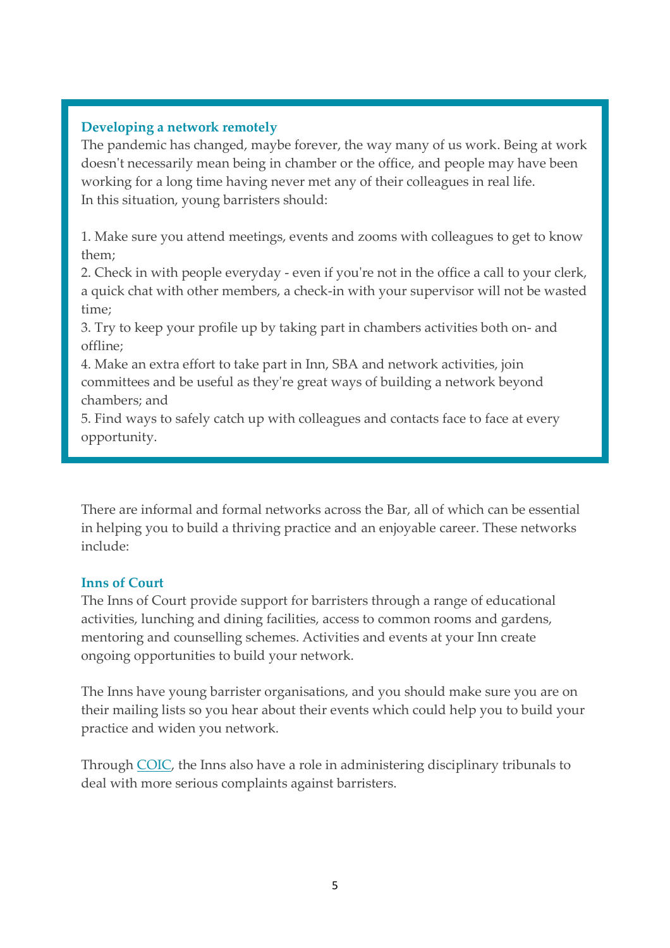# **Developing a network remotely**

The pandemic has changed, maybe forever, the way many of us work. Being at work doesn't necessarily mean being in chamber or the office, and people may have been working for a long time having never met any of their colleagues in real life. In this situation, young barristers should:

1. Make sure you attend meetings, events and zooms with colleagues to get to know them;

2. Check in with people everyday - even if you're not in the office a call to your clerk, a quick chat with other members, a check-in with your supervisor will not be wasted time;

3. Try to keep your profile up by taking part in chambers activities both on- and offline;

4. Make an extra effort to take part in Inn, SBA and network activities, join committees and be useful as they're great ways of building a network beyond chambers; and

5. Find ways to safely catch up with colleagues and contacts face to face at every opportunity.

There are informal and formal networks across the Bar, all of which can be essential in helping you to build a thriving practice and an enjoyable career. These networks include:

# **Inns of Court**

The [Inns of Court](https://www.barcouncil.org.uk/about/about-the-bar/other-organisations.html) provide support for barristers through a range of educational activities, lunching and dining facilities, access to common rooms and gardens, mentoring and counselling schemes. Activities and events at your Inn create ongoing opportunities to build your network.

The Inns have young barrister organisations, and you should make sure you are on their mailing lists so you hear about their events which could help you to build your practice and widen you network.

Through [COIC,](https://www.coic.org.uk/) the Inns also have a role in administering disciplinary tribunals to deal with more serious complaints against barristers.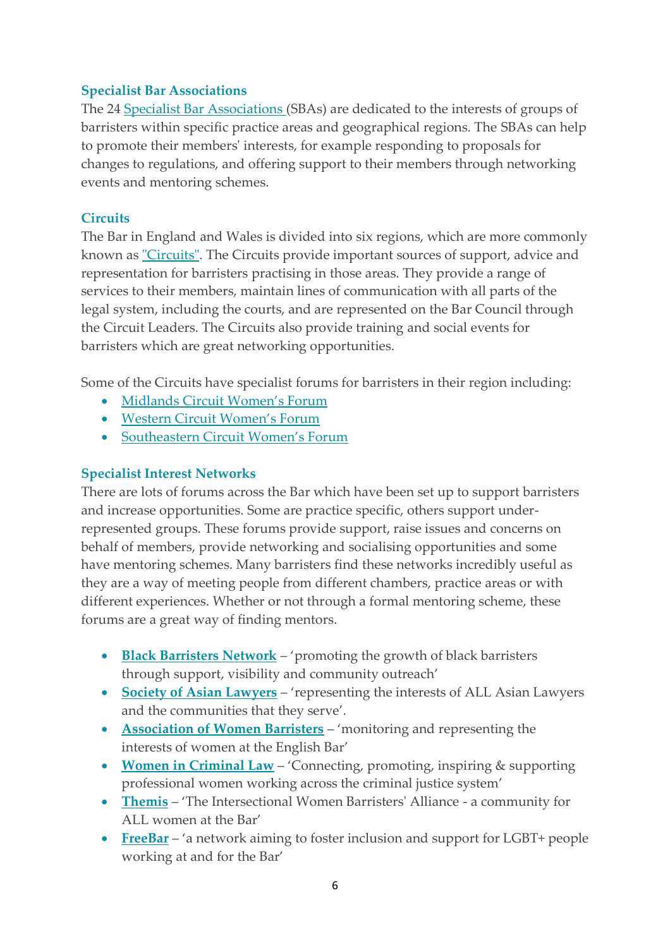### **Specialist Bar Associations**

The 24 [Specialist Bar Associations](https://www.barcouncil.org.uk/about/about-the-bar/other-organisations.html) (SBAs) are dedicated to the interests of groups of barristers within specific practice areas and geographical regions. The SBAs can help to promote their members' interests, for example responding to proposals for changes to regulations, and offering support to their members through networking events and mentoring schemes.

# **Circuits**

The Bar in England and Wales is divided into six regions, which are more commonly known as ["Circuits"](https://www.barcouncil.org.uk/about/about-the-bar/other-organisations.html). The Circuits provide important sources of support, advice and representation for barristers practising in those areas. They provide a range of services to their members, maintain lines of communication with all parts of the legal system, including the courts, and are represented on the Bar Council through the Circuit Leaders. The Circuits also provide training and social events for barristers which are great networking opportunities.

Some of the Circuits have specialist forums for barristers in their region including:

- Midlands [Circuit Women's Forum](https://www.midlandcircuit.co.uk/women-mentoring-and-forum)
- [Western Circuit Women's Forum](https://westerncircuit.co.uk/womens-forum/)
- Southeastern [Circuit Women's Forum](https://southeastcircuit.org.uk/women-forum/contact-us)

#### **Specialist Interest Networks**

There are lots of forums across the Bar which have been set up to support barristers and increase opportunities. Some are practice specific, others support underrepresented groups. These forums provide support, raise issues and concerns on behalf of members, provide networking and socialising opportunities and some have mentoring schemes. Many barristers find these networks incredibly useful as they are a way of meeting people from different chambers, practice areas or with different experiences. Whether or not through a formal mentoring scheme, these forums are a great way of finding mentors.

- **[Black Barristers Network](https://www.blackbarristersnetwork.org.uk/our-work)** 'promoting the growth of black barristers through support, visibility and community outreach'
- **[Society of Asian Lawyers](https://www.societyofasianlawyers.co.uk/)** 'representing the interests of ALL Asian Lawyers and the communities that they serve'.
- **[Association of Women Barristers](http://www.womenbarristers.com/)** 'monitoring and representing the interests of women at the English Bar'
- **[Women in Criminal Law](https://www.womenincriminallaw.com/)** 'Connecting, promoting, inspiring & supporting professional women working across the criminal justice system'
- **[Themis](https://www.themiswomen.org/)** 'The Intersectional Women Barristers' Alliance a community for ALL women at the Bar'
- **[FreeBar](https://freebar.co.uk/)** 'a network aiming to foster inclusion and support for LGBT+ people working at and for the Bar'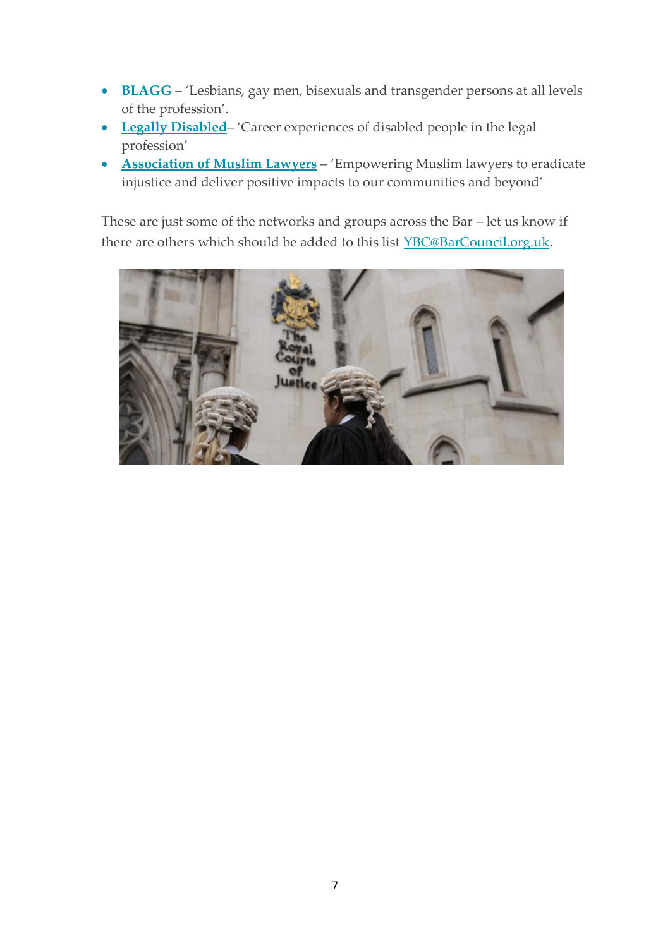- **[BLAGG](http://blagg.org.uk/)** 'Lesbians, gay men, bisexuals and transgender persons at all levels of the profession'.
- **[Legally Disabled](http://legallydisabled.com/)** 'Career experiences of disabled people in the legal profession'
- **[Association of Muslim Lawyers](http://www.aml.org.uk/)** 'Empowering Muslim lawyers to eradicate injustice and deliver positive impacts to our communities and beyond'

These are just some of the networks and groups across the Bar – let us know if there are others which should be added to this list [YBC@BarCouncil.org.uk.](mailto:YBC@BarCouncil.org.uk)

<span id="page-7-0"></span>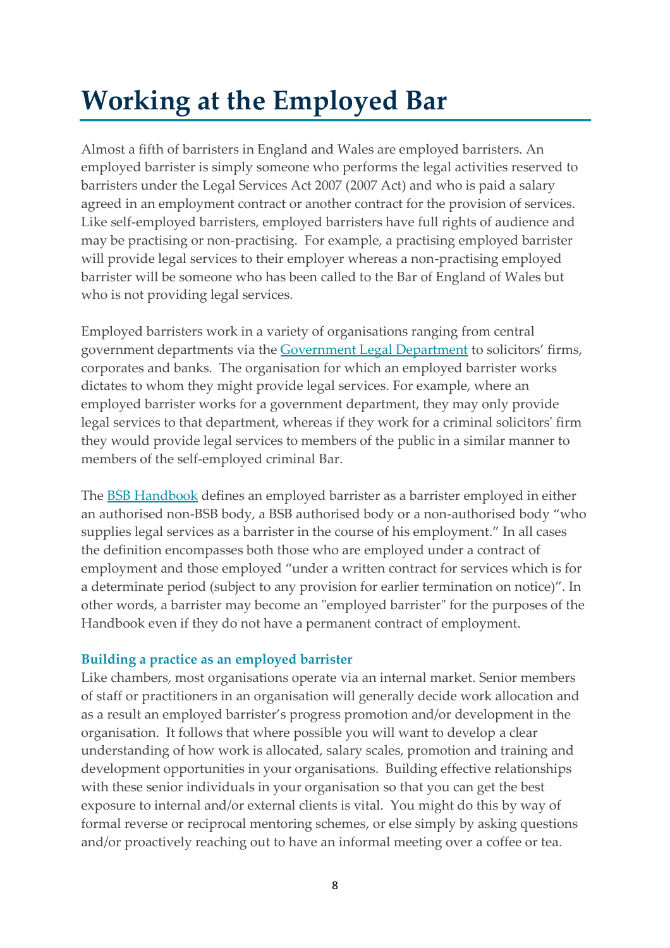# **Working at the Employed Bar**

Almost a fifth of barristers in England and Wales are employed barristers. An employed barrister is simply someone who performs the legal activities reserved to barristers under the Legal Services Act 2007 (2007 Act) and who is paid a salary agreed in an employment contract or another contract for the provision of services. Like self-employed barristers, employed barristers have full rights of audience and may be practising or non-practising. For example, a practising employed barrister will provide legal services to their employer whereas a non-practising employed barrister will be someone who has been called to the Bar of England of Wales but who is not providing legal services.

Employed barristers work in a variety of organisations ranging from central government departments via the [Government Legal Department](https://www.gov.uk/government/organisations/government-legal-department) to solicitors' firms, corporates and banks. The organisation for which an employed barrister works dictates to whom they might provide legal services. For example, where an employed barrister works for a government department, they may only provide legal services to that department, whereas if they work for a criminal solicitors' firm they would provide legal services to members of the public in a similar manner to members of the self-employed criminal Bar.

The **[BSB Handbook](https://www.barstandardsboard.org.uk/for-barristers/bsb-handbook-and-code-guidance/the-bsb-handbook.html)** defines an employed barrister as a barrister employed in either an authorised non-BSB body, a BSB authorised body or a non-authorised body "who supplies legal services as a barrister in the course of his employment." In all cases the definition encompasses both those who are employed under a contract of employment and those employed "under a written contract for services which is for a determinate period (subject to any provision for earlier termination on notice)". In other words, a barrister may become an "employed barrister" for the purposes of the Handbook even if they do not have a permanent contract of employment.

# **Building a practice as an employed barrister**

Like chambers, most organisations operate via an internal market. Senior members of staff or practitioners in an organisation will generally decide work allocation and as a result an employed barrister's progress promotion and/or development in the organisation. It follows that where possible you will want to develop a clear understanding of how work is allocated, salary scales, promotion and training and development opportunities in your organisations. Building effective relationships with these senior individuals in your organisation so that you can get the best exposure to internal and/or external clients is vital. You might do this by way of formal reverse or reciprocal mentoring schemes, or else simply by asking questions and/or proactively reaching out to have an informal meeting over a coffee or tea.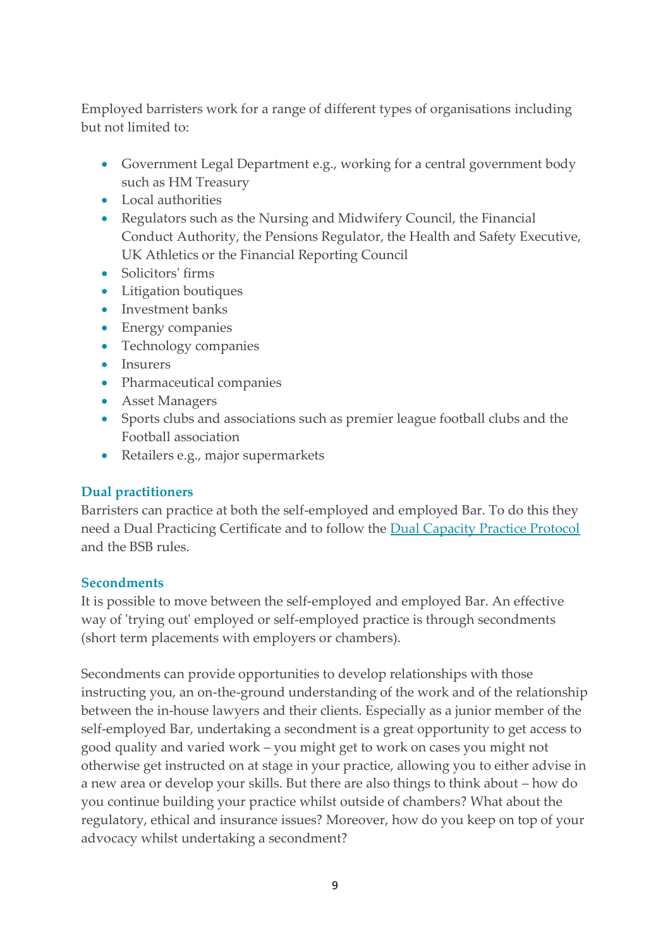Employed barristers work for a range of different types of organisations including but not limited to:

- Government Legal Department e.g., working for a central government body such as HM Treasury
- Local authorities
- Regulators such as the Nursing and Midwifery Council, the Financial Conduct Authority, the Pensions Regulator, the Health and Safety Executive, UK Athletics or the Financial Reporting Council
- Solicitors' firms
- Litigation boutiques
- Investment banks
- Energy companies
- Technology companies
- Insurers
- Pharmaceutical companies
- Asset Managers
- Sports clubs and associations such as premier league football clubs and the Football association
- Retailers e.g., major supermarkets

# **Dual practitioners**

Barristers can practice at both the self-employed and employed Bar. To do this they need a Dual Practicing Certificate and to follow the [Dual Capacity Practice Protocol](https://www.barcouncilethics.co.uk/documents/dual-capacity-practice-protocol/) and the BSB rules.

# **Secondments**

It is possible to move between the self-employed and employed Bar. An effective way of 'trying out' employed or self-employed practice is through secondments (short term placements with employers or chambers).

Secondments can provide opportunities to develop relationships with those instructing you, an on-the-ground understanding of the work and of the relationship between the in-house lawyers and their clients. Especially as a junior member of the self-employed Bar, undertaking a secondment is a great opportunity to get access to good quality and varied work – you might get to work on cases you might not otherwise get instructed on at stage in your practice, allowing you to either advise in a new area or develop your skills. But there are also things to think about – how do you continue building your practice whilst outside of chambers? What about the regulatory, ethical and insurance issues? Moreover, how do you keep on top of your advocacy whilst undertaking a secondment?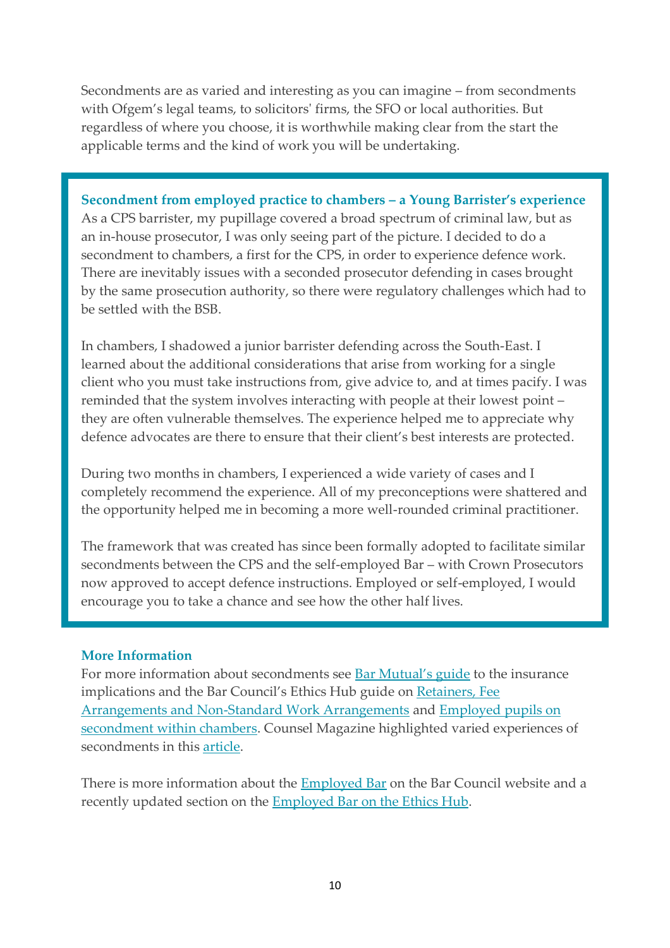Secondments are as varied and interesting as you can imagine – from secondments with Ofgem's legal teams, to solicitors' firms, the SFO or local authorities. But regardless of where you choose, it is worthwhile making clear from the start the applicable terms and the kind of work you will be undertaking.

**Secondment from employed practice to chambers – a Young Barrister's experience** As a CPS barrister, my pupillage covered a broad spectrum of criminal law, but as an in-house prosecutor, I was only seeing part of the picture. I decided to do a secondment to chambers, a first for the CPS, in order to experience defence work. There are inevitably issues with a seconded prosecutor defending in cases brought by the same prosecution authority, so there were regulatory challenges which had to be settled with the BSB.

In chambers, I shadowed a junior barrister defending across the South-East. I learned about the additional considerations that arise from working for a single client who you must take instructions from, give advice to, and at times pacify. I was reminded that the system involves interacting with people at their lowest point – they are often vulnerable themselves. The experience helped me to appreciate why defence advocates are there to ensure that their client's best interests are protected.

During two months in chambers, I experienced a wide variety of cases and I completely recommend the experience. All of my preconceptions were shattered and the opportunity helped me in becoming a more well-rounded criminal practitioner.

The framework that was created has since been formally adopted to facilitate similar secondments between the CPS and the self-employed Bar – with Crown Prosecutors now approved to accept defence instructions. Employed or self-employed, I would encourage you to take a chance and see how the other half lives.

#### **More Information**

For more information about secondments see [Bar Mutual's guide](https://www.barmutual.co.uk/fileadmin/uploads/barmutual/2017_documents/BMIF._Secondments_Guidance._Nov2017_.pdf) to the insurance implications and the Bar Council's Ethics Hub guide on Retainers, Fee [Arrangements and Non-Standard Work Arrangements](https://www.barcouncilethics.co.uk/documents/retainers-fee-arrangements-non-standard-work-arrangements/) and [Employed pupils on](https://www.barcouncilethics.co.uk/documents/employed-pupils-on-secondment-within-chambers/)  [secondment within chambers.](https://www.barcouncilethics.co.uk/documents/employed-pupils-on-secondment-within-chambers/) Counsel Magazine highlighted varied experiences of secondments in this [article.](https://www.counselmagazine.co.uk/articles/secondments-still-the-new-junior-briefs)

There is more information about the [Employed Bar](https://www.barcouncil.org.uk/support-for-barristers/employed-bar.html) on the Bar Council website and a recently updated section on the **Employed Bar on the Ethics Hub**.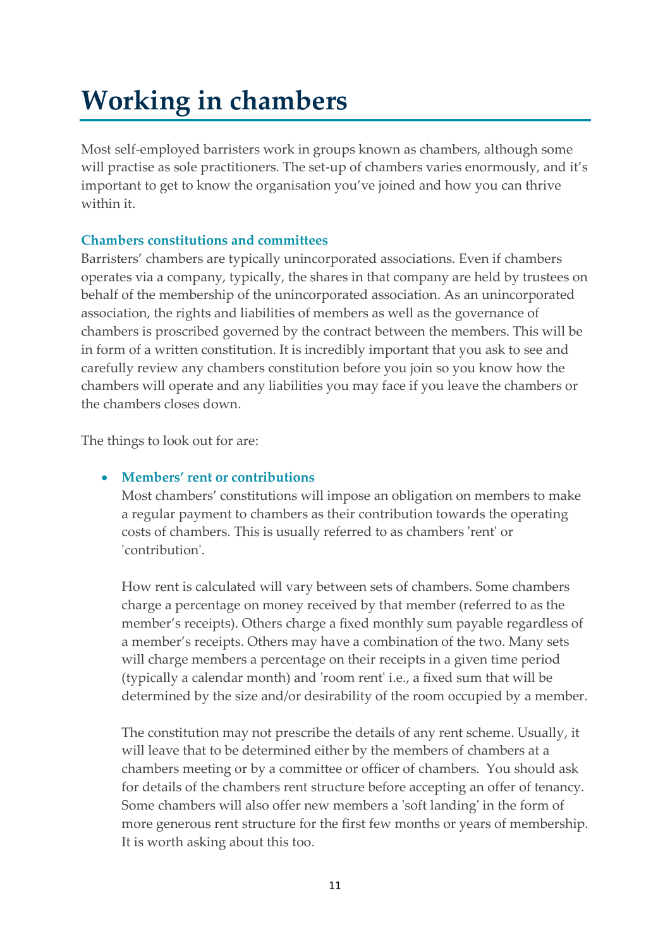# <span id="page-11-0"></span>**Working in chambers**

Most self-employed barristers work in groups known as chambers, although some will practise as sole practitioners. The set-up of chambers varies enormously, and it's important to get to know the organisation you've joined and how you can thrive within it.

# **Chambers constitutions and committees**

Barristers' chambers are typically unincorporated associations. Even if chambers operates via a company, typically, the shares in that company are held by trustees on behalf of the membership of the unincorporated association. As an unincorporated association, the rights and liabilities of members as well as the governance of chambers is proscribed governed by the contract between the members. This will be in form of a written constitution. It is incredibly important that you ask to see and carefully review any chambers constitution before you join so you know how the chambers will operate and any liabilities you may face if you leave the chambers or the chambers closes down.

The things to look out for are:

# • **Members' rent or contributions**

Most chambers' constitutions will impose an obligation on members to make a regular payment to chambers as their contribution towards the operating costs of chambers. This is usually referred to as chambers 'rent' or 'contribution'.

How rent is calculated will vary between sets of chambers. Some chambers charge a percentage on money received by that member (referred to as the member's receipts). Others charge a fixed monthly sum payable regardless of a member's receipts. Others may have a combination of the two. Many sets will charge members a percentage on their receipts in a given time period (typically a calendar month) and 'room rent' i.e., a fixed sum that will be determined by the size and/or desirability of the room occupied by a member.

The constitution may not prescribe the details of any rent scheme. Usually, it will leave that to be determined either by the members of chambers at a chambers meeting or by a committee or officer of chambers. You should ask for details of the chambers rent structure before accepting an offer of tenancy. Some chambers will also offer new members a 'soft landing' in the form of more generous rent structure for the first few months or years of membership. It is worth asking about this too.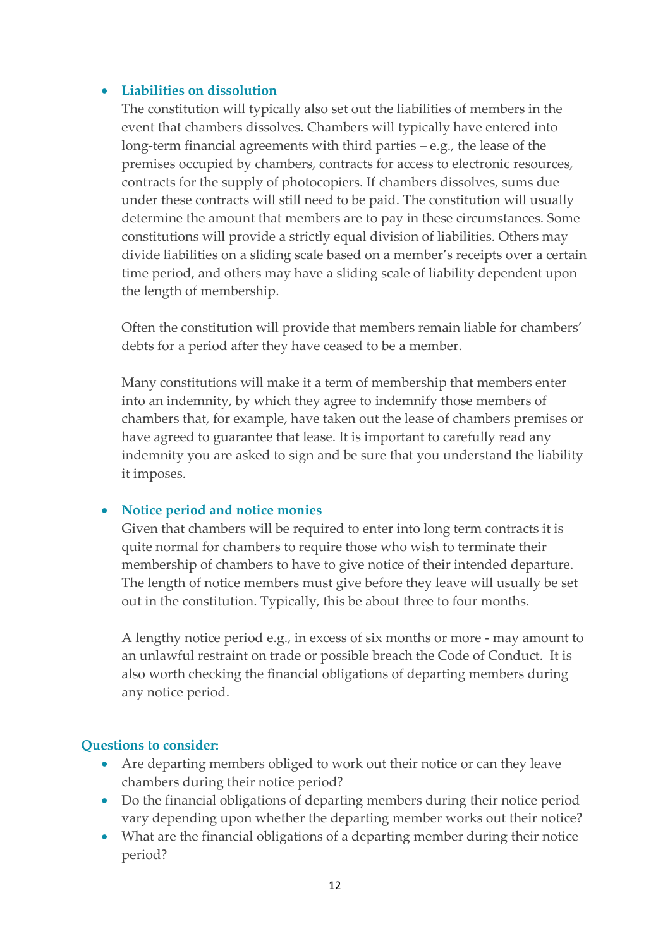#### • **Liabilities on dissolution**

The constitution will typically also set out the liabilities of members in the event that chambers dissolves. Chambers will typically have entered into long-term financial agreements with third parties – e.g., the lease of the premises occupied by chambers, contracts for access to electronic resources, contracts for the supply of photocopiers. If chambers dissolves, sums due under these contracts will still need to be paid. The constitution will usually determine the amount that members are to pay in these circumstances. Some constitutions will provide a strictly equal division of liabilities. Others may divide liabilities on a sliding scale based on a member's receipts over a certain time period, and others may have a sliding scale of liability dependent upon the length of membership.

Often the constitution will provide that members remain liable for chambers' debts for a period after they have ceased to be a member.

Many constitutions will make it a term of membership that members enter into an indemnity, by which they agree to indemnify those members of chambers that, for example, have taken out the lease of chambers premises or have agreed to guarantee that lease. It is important to carefully read any indemnity you are asked to sign and be sure that you understand the liability it imposes.

#### • **Notice period and notice monies**

Given that chambers will be required to enter into long term contracts it is quite normal for chambers to require those who wish to terminate their membership of chambers to have to give notice of their intended departure. The length of notice members must give before they leave will usually be set out in the constitution. Typically, this be about three to four months.

A lengthy notice period e.g., in excess of six months or more - may amount to an unlawful restraint on trade or possible breach the Code of Conduct. It is also worth checking the financial obligations of departing members during any notice period.

#### **Questions to consider:**

- Are departing members obliged to work out their notice or can they leave chambers during their notice period?
- Do the financial obligations of departing members during their notice period vary depending upon whether the departing member works out their notice?
- What are the financial obligations of a departing member during their notice period?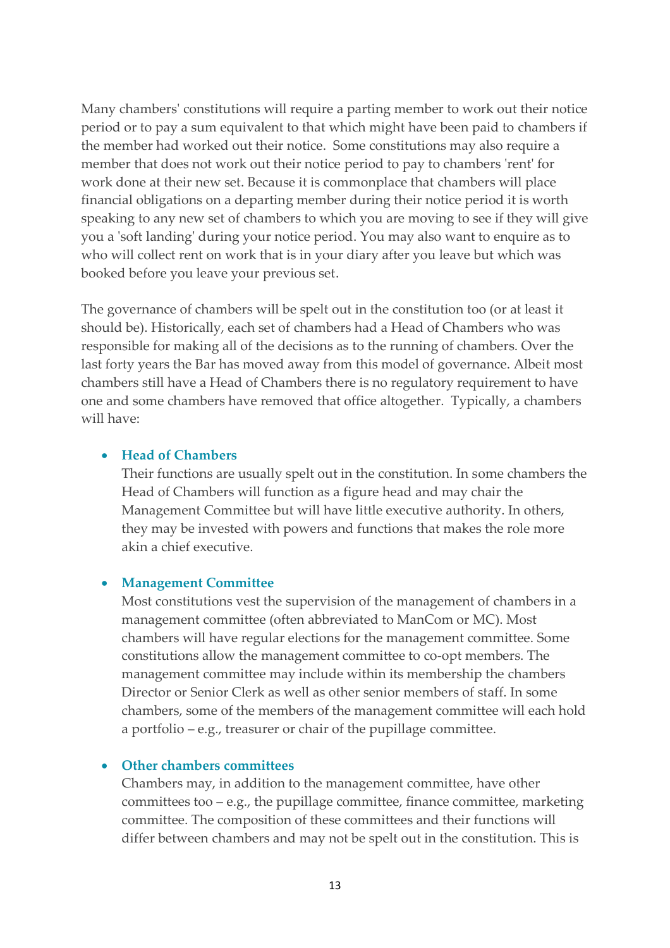Many chambers' constitutions will require a parting member to work out their notice period or to pay a sum equivalent to that which might have been paid to chambers if the member had worked out their notice. Some constitutions may also require a member that does not work out their notice period to pay to chambers 'rent' for work done at their new set. Because it is commonplace that chambers will place financial obligations on a departing member during their notice period it is worth speaking to any new set of chambers to which you are moving to see if they will give you a 'soft landing' during your notice period. You may also want to enquire as to who will collect rent on work that is in your diary after you leave but which was booked before you leave your previous set.

The governance of chambers will be spelt out in the constitution too (or at least it should be). Historically, each set of chambers had a Head of Chambers who was responsible for making all of the decisions as to the running of chambers. Over the last forty years the Bar has moved away from this model of governance. Albeit most chambers still have a Head of Chambers there is no regulatory requirement to have one and some chambers have removed that office altogether. Typically, a chambers will have:

#### • **Head of Chambers**

Their functions are usually spelt out in the constitution. In some chambers the Head of Chambers will function as a figure head and may chair the Management Committee but will have little executive authority. In others, they may be invested with powers and functions that makes the role more akin a chief executive.

#### • **Management Committee**

Most constitutions vest the supervision of the management of chambers in a management committee (often abbreviated to ManCom or MC). Most chambers will have regular elections for the management committee. Some constitutions allow the management committee to co-opt members. The management committee may include within its membership the chambers Director or Senior Clerk as well as other senior members of staff. In some chambers, some of the members of the management committee will each hold a portfolio – e.g., treasurer or chair of the pupillage committee.

#### • **Other chambers committees**

Chambers may, in addition to the management committee, have other committees too  $-e.g.,$  the pupillage committee, finance committee, marketing committee. The composition of these committees and their functions will differ between chambers and may not be spelt out in the constitution. This is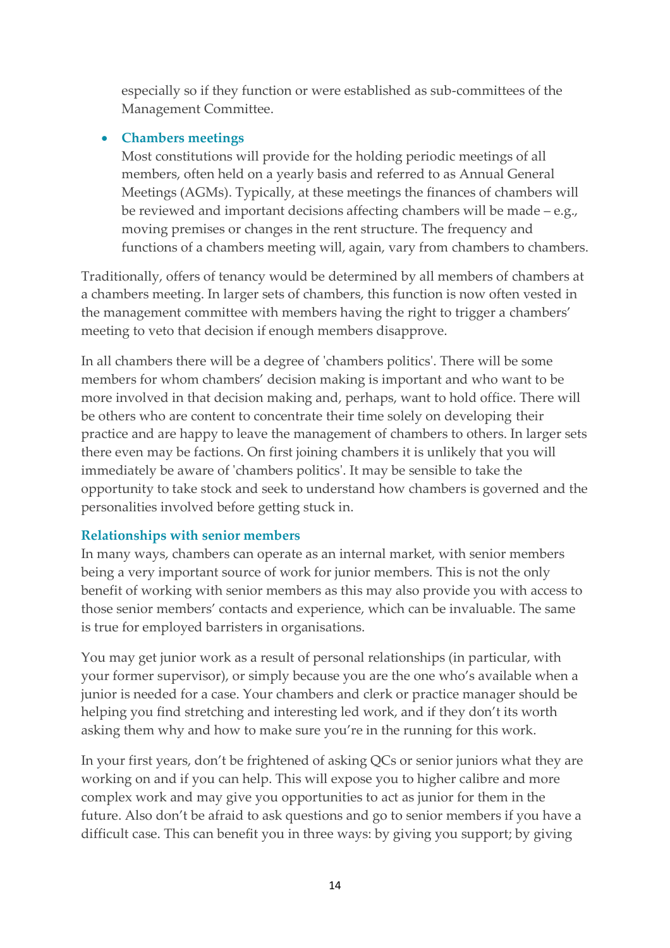especially so if they function or were established as sub-committees of the Management Committee.

### • **Chambers meetings**

Most constitutions will provide for the holding periodic meetings of all members, often held on a yearly basis and referred to as Annual General Meetings (AGMs). Typically, at these meetings the finances of chambers will be reviewed and important decisions affecting chambers will be made – e.g., moving premises or changes in the rent structure. The frequency and functions of a chambers meeting will, again, vary from chambers to chambers.

Traditionally, offers of tenancy would be determined by all members of chambers at a chambers meeting. In larger sets of chambers, this function is now often vested in the management committee with members having the right to trigger a chambers' meeting to veto that decision if enough members disapprove.

In all chambers there will be a degree of 'chambers politics'. There will be some members for whom chambers' decision making is important and who want to be more involved in that decision making and, perhaps, want to hold office. There will be others who are content to concentrate their time solely on developing their practice and are happy to leave the management of chambers to others. In larger sets there even may be factions. On first joining chambers it is unlikely that you will immediately be aware of 'chambers politics'. It may be sensible to take the opportunity to take stock and seek to understand how chambers is governed and the personalities involved before getting stuck in.

# **Relationships with senior members**

In many ways, chambers can operate as an internal market, with senior members being a very important source of work for junior members. This is not the only benefit of working with senior members as this may also provide you with access to those senior members' contacts and experience, which can be invaluable. The same is true for employed barristers in organisations.

You may get junior work as a result of personal relationships (in particular, with your former supervisor), or simply because you are the one who's available when a junior is needed for a case. Your chambers and clerk or practice manager should be helping you find stretching and interesting led work, and if they don't its worth asking them why and how to make sure you're in the running for this work.

In your first years, don't be frightened of asking QCs or senior juniors what they are working on and if you can help. This will expose you to higher calibre and more complex work and may give you opportunities to act as junior for them in the future. Also don't be afraid to ask questions and go to senior members if you have a difficult case. This can benefit you in three ways: by giving you support; by giving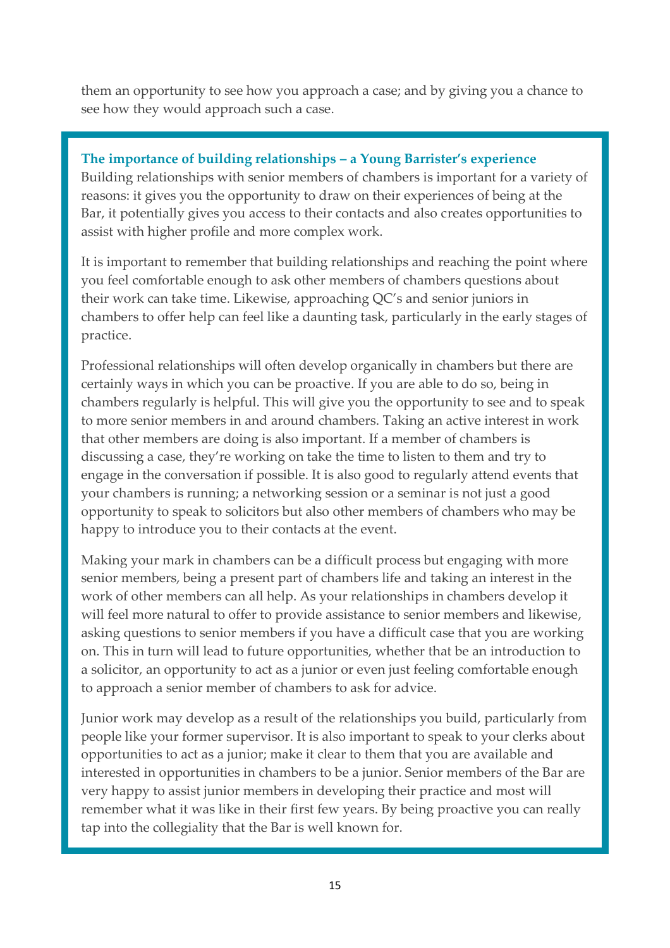them an opportunity to see how you approach a case; and by giving you a chance to see how they would approach such a case.

#### **The importance of building relationships – a Young Barrister's experience**

Building relationships with senior members of chambers is important for a variety of reasons: it gives you the opportunity to draw on their experiences of being at the Bar, it potentially gives you access to their contacts and also creates opportunities to assist with higher profile and more complex work.

It is important to remember that building relationships and reaching the point where you feel comfortable enough to ask other members of chambers questions about their work can take time. Likewise, approaching QC's and senior juniors in chambers to offer help can feel like a daunting task, particularly in the early stages of practice.

Professional relationships will often develop organically in chambers but there are certainly ways in which you can be proactive. If you are able to do so, being in chambers regularly is helpful. This will give you the opportunity to see and to speak to more senior members in and around chambers. Taking an active interest in work that other members are doing is also important. If a member of chambers is discussing a case, they're working on take the time to listen to them and try to engage in the conversation if possible. It is also good to regularly attend events that your chambers is running; a networking session or a seminar is not just a good opportunity to speak to solicitors but also other members of chambers who may be happy to introduce you to their contacts at the event.

Making your mark in chambers can be a difficult process but engaging with more senior members, being a present part of chambers life and taking an interest in the work of other members can all help. As your relationships in chambers develop it will feel more natural to offer to provide assistance to senior members and likewise, asking questions to senior members if you have a difficult case that you are working on. This in turn will lead to future opportunities, whether that be an introduction to a solicitor, an opportunity to act as a junior or even just feeling comfortable enough to approach a senior member of chambers to ask for advice.

Junior work may develop as a result of the relationships you build, particularly from people like your former supervisor. It is also important to speak to your clerks about opportunities to act as a junior; make it clear to them that you are available and interested in opportunities in chambers to be a junior. Senior members of the Bar are very happy to assist junior members in developing their practice and most will remember what it was like in their first few years. By being proactive you can really tap into the collegiality that the Bar is well known for.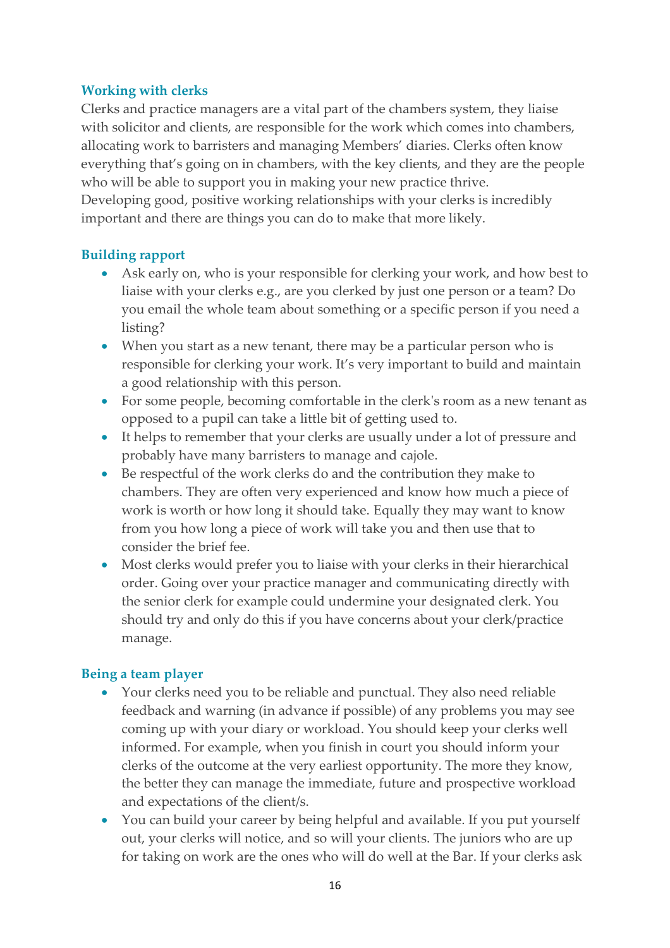# **Working with clerks**

Clerks and practice managers are a vital part of the chambers system, they liaise with solicitor and clients, are responsible for the work which comes into chambers, allocating work to barristers and managing Members' diaries. Clerks often know everything that's going on in chambers, with the key clients, and they are the people who will be able to support you in making your new practice thrive. Developing good, positive working relationships with your clerks is incredibly important and there are things you can do to make that more likely.

# **Building rapport**

- Ask early on, who is your responsible for clerking your work, and how best to liaise with your clerks e.g., are you clerked by just one person or a team? Do you email the whole team about something or a specific person if you need a listing?
- When you start as a new tenant, there may be a particular person who is responsible for clerking your work. It's very important to build and maintain a good relationship with this person.
- For some people, becoming comfortable in the clerk's room as a new tenant as opposed to a pupil can take a little bit of getting used to.
- It helps to remember that your clerks are usually under a lot of pressure and probably have many barristers to manage and cajole.
- Be respectful of the work clerks do and the contribution they make to chambers. They are often very experienced and know how much a piece of work is worth or how long it should take. Equally they may want to know from you how long a piece of work will take you and then use that to consider the brief fee.
- Most clerks would prefer you to liaise with your clerks in their hierarchical order. Going over your practice manager and communicating directly with the senior clerk for example could undermine your designated clerk. You should try and only do this if you have concerns about your clerk/practice manage.

# **Being a team player**

- Your clerks need you to be reliable and punctual. They also need reliable feedback and warning (in advance if possible) of any problems you may see coming up with your diary or workload. You should keep your clerks well informed. For example, when you finish in court you should inform your clerks of the outcome at the very earliest opportunity. The more they know, the better they can manage the immediate, future and prospective workload and expectations of the client/s.
- You can build your career by being helpful and available. If you put yourself out, your clerks will notice, and so will your clients. The juniors who are up for taking on work are the ones who will do well at the Bar. If your clerks ask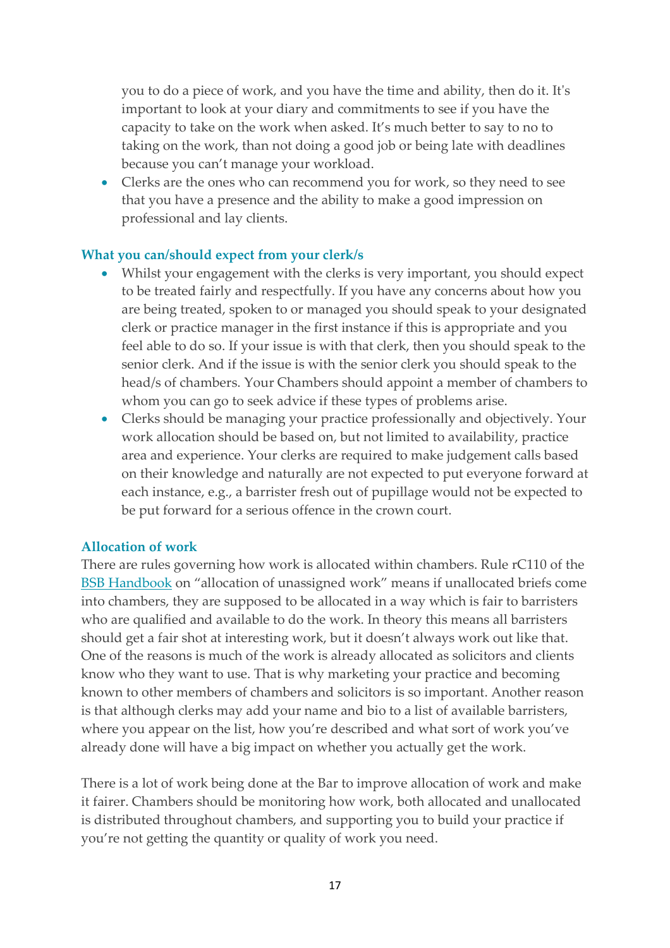you to do a piece of work, and you have the time and ability, then do it. It's important to look at your diary and commitments to see if you have the capacity to take on the work when asked. It's much better to say to no to taking on the work, than not doing a good job or being late with deadlines because you can't manage your workload.

• Clerks are the ones who can recommend you for work, so they need to see that you have a presence and the ability to make a good impression on professional and lay clients.

#### **What you can/should expect from your clerk/s**

- Whilst your engagement with the clerks is very important, you should expect to be treated fairly and respectfully. If you have any concerns about how you are being treated, spoken to or managed you should speak to your designated clerk or practice manager in the first instance if this is appropriate and you feel able to do so. If your issue is with that clerk, then you should speak to the senior clerk. And if the issue is with the senior clerk you should speak to the head/s of chambers. Your Chambers should appoint a member of chambers to whom you can go to seek advice if these types of problems arise.
- Clerks should be managing your practice professionally and objectively. Your work allocation should be based on, but not limited to availability, practice area and experience. Your clerks are required to make judgement calls based on their knowledge and naturally are not expected to put everyone forward at each instance, e.g., a barrister fresh out of pupillage would not be expected to be put forward for a serious offence in the crown court.

#### **Allocation of work**

There are rules governing how work is allocated within chambers. Rule rC110 of the [BSB Handbook](https://www.barstandardsboard.org.uk/uploads/assets/de77ead9-9400-4c9d-bef91353ca9e5345/c4df2a18-5242-4334-a31566516b116df3/second-edition-test31072019104713.pdf) on "allocation of unassigned work" means if unallocated briefs come into chambers, they are supposed to be allocated in a way which is fair to barristers who are qualified and available to do the work. In theory this means all barristers should get a fair shot at interesting work, but it doesn't always work out like that. One of the reasons is much of the work is already allocated as solicitors and clients know who they want to use. That is why marketing your practice and becoming known to other members of chambers and solicitors is so important. Another reason is that although clerks may add your name and bio to a list of available barristers, where you appear on the list, how you're described and what sort of work you've already done will have a big impact on whether you actually get the work.

There is a lot of work being done at the Bar to improve allocation of work and make it fairer. Chambers should be monitoring how work, both allocated and unallocated is distributed throughout chambers, and supporting you to build your practice if you're not getting the quantity or quality of work you need.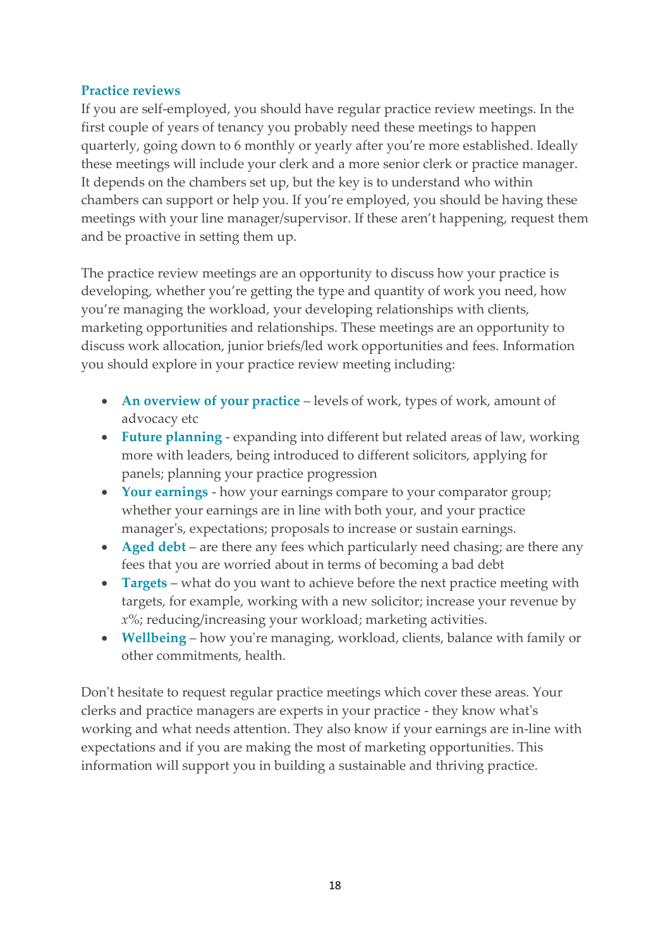# **Practice reviews**

If you are self-employed, you should have regular practice review meetings. In the first couple of years of tenancy you probably need these meetings to happen quarterly, going down to 6 monthly or yearly after you're more established. Ideally these meetings will include your clerk and a more senior clerk or practice manager. It depends on the chambers set up, but the key is to understand who within chambers can support or help you. If you're employed, you should be having these meetings with your line manager/supervisor. If these aren't happening, request them and be proactive in setting them up.

The practice review meetings are an opportunity to discuss how your practice is developing, whether you're getting the type and quantity of work you need, how you're managing the workload, your developing relationships with clients, marketing opportunities and relationships. These meetings are an opportunity to discuss work allocation, junior briefs/led work opportunities and fees. Information you should explore in your practice review meeting including:

- **An overview of your practice** levels of work, types of work, amount of advocacy etc
- **Future planning** expanding into different but related areas of law, working more with leaders, being introduced to different solicitors, applying for panels; planning your practice progression
- **Your earnings** how your earnings compare to your comparator group; whether your earnings are in line with both your, and your practice manager's, expectations; proposals to increase or sustain earnings.
- **Aged debt** are there any fees which particularly need chasing; are there any fees that you are worried about in terms of becoming a bad debt
- **Targets** what do you want to achieve before the next practice meeting with targets, for example, working with a new solicitor; increase your revenue by *x*%; reducing/increasing your workload; marketing activities.
- **Wellbeing** how you're managing, workload, clients, balance with family or other commitments, health.

Don't hesitate to request regular practice meetings which cover these areas. Your clerks and practice managers are experts in your practice - they know what's working and what needs attention. They also know if your earnings are in-line with expectations and if you are making the most of marketing opportunities. This information will support you in building a sustainable and thriving practice.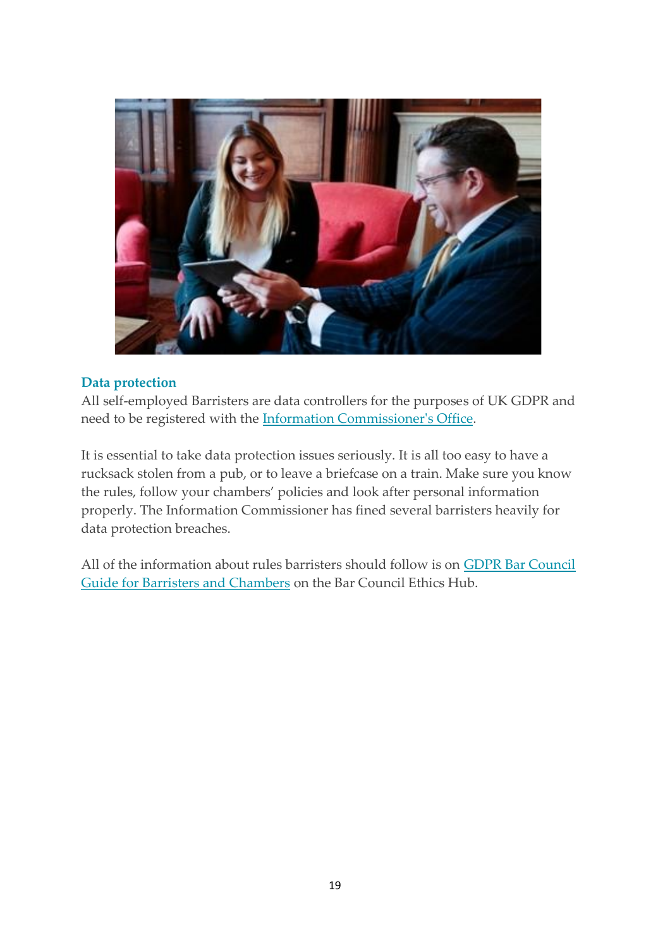

#### **Data protection**

All self-employed Barristers are data controllers for the purposes of UK GDPR and need to be registered with the [Information Commissioner's Office.](https://ico.org.uk/for-organisations/data-protection-fee/)

It is essential to take data protection issues seriously. It is all too easy to have a rucksack stolen from a pub, or to leave a briefcase on a train. Make sure you know the rules, follow your chambers' policies and look after personal information properly. The Information Commissioner has fined several barristers heavily for data protection breaches.

<span id="page-19-0"></span>All of the information about rules barristers should follow is on [GDPR Bar Council](https://www.barcouncilethics.co.uk/documents/gdpr-guide-barristers-chambers/)  [Guide for Barristers and Chambers](https://www.barcouncilethics.co.uk/documents/gdpr-guide-barristers-chambers/) on the Bar Council Ethics Hub.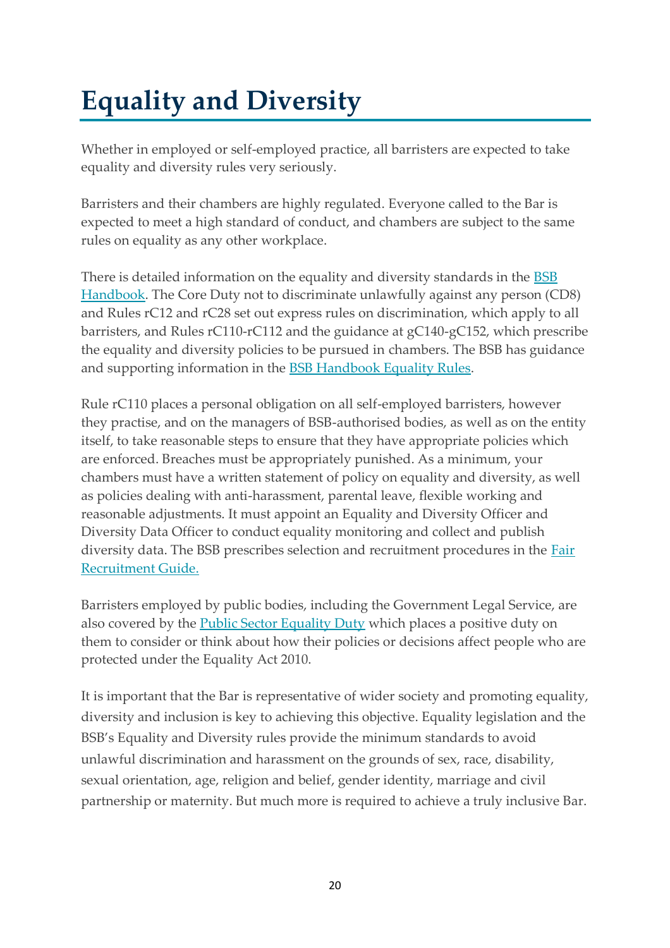# **Equality and Diversity**

Whether in employed or self-employed practice, all barristers are expected to take equality and diversity rules very seriously.

Barristers and their chambers are highly regulated. Everyone called to the Bar is expected to meet a high standard of conduct, and chambers are subject to the same rules on equality as any other workplace.

There is detailed information on the equality and diversity standards in the **BSB** [Handbook.](https://www.barstandardsboard.org.uk/the-bsb-handbook.html?part=E3FF76D3-9538-4B97-94C02111664E5709&audience=&q=) The Core Duty not to discriminate unlawfully against any person (CD8) and Rules rC12 and rC28 set out express rules on discrimination, which apply to all barristers, and Rules rC110-rC112 and the guidance at gC140-gC152, which prescribe the equality and diversity policies to be pursued in chambers. The BSB has guidance and supporting information in the [BSB Handbook Equality Rules](https://www.barstandardsboard.org.uk/for-barristers/compliance-with-your-obligations/equality-and-diversity-rules.html)[.](https://www.barstandardsboard.org.uk/about-bar-standards-board/equality-and-diversity/equality-and-diversity-rules-of-the-bsb-handbook/)

Rule rC110 places a personal obligation on all self-employed barristers, however they practise, and on the managers of BSB-authorised bodies, as well as on the entity itself, to take reasonable steps to ensure that they have appropriate policies which are enforced. Breaches must be appropriately punished. As a minimum, your chambers must have a written statement of policy on equality and diversity, as well as policies dealing with anti-harassment, parental leave, flexible working and reasonable adjustments. It must appoint an Equality and Diversity Officer and Diversity Data Officer to conduct equality monitoring and collect and publish diversity data. The BSB prescribes selection and recruitment procedures in the [Fair](https://www.barcouncilethics.co.uk/documents/fair-recruitment-guide/)  [Recruitment Guide.](https://www.barcouncilethics.co.uk/documents/fair-recruitment-guide/)

Barristers employed by public bodies, including the Government Legal Service, are also covered by the [Public Sector Equality Duty](https://www.equalityhumanrights.com/en/advice-and-guidance/public-sector-equality-duty) which places a positive duty on them to consider or think about how their policies or decisions affect people who are protected under the Equality Act 2010.

It is important that the Bar is representative of wider society and promoting equality, diversity and inclusion is key to achieving this objective. Equality legislation and the BSB's Equality and Diversity rules provide the minimum standards to avoid unlawful discrimination and harassment on the grounds of sex, race, disability, sexual orientation, age, religion and belief, gender identity, marriage and civil partnership or maternity. But much more is required to achieve a truly inclusive Bar.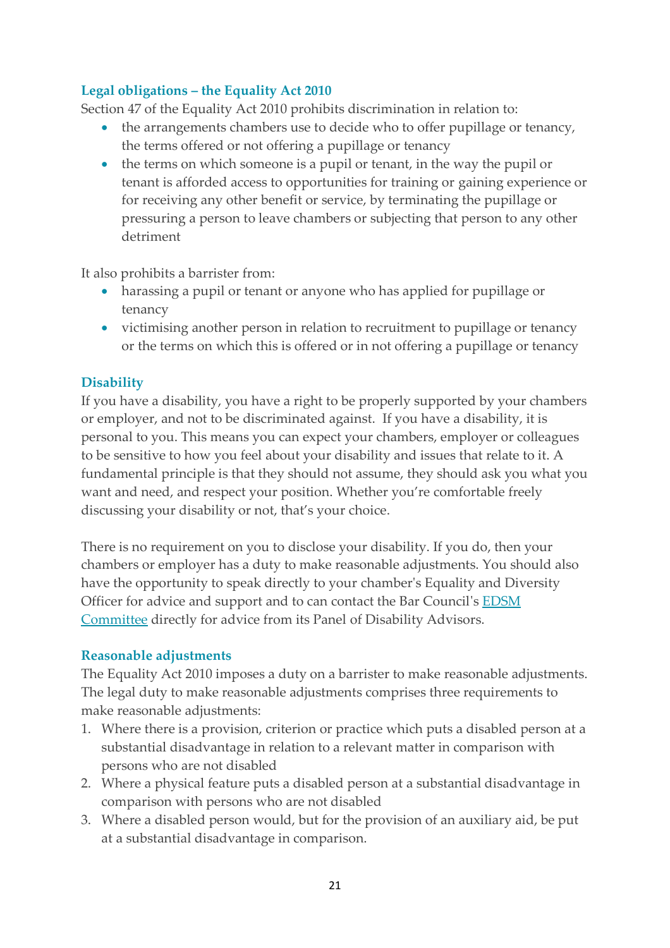# **Legal obligations – the Equality Act 2010**

Section 47 of the Equality Act 2010 prohibits discrimination in relation to:

- the arrangements chambers use to decide who to offer pupillage or tenancy, the terms offered or not offering a pupillage or tenancy
- the terms on which someone is a pupil or tenant, in the way the pupil or tenant is afforded access to opportunities for training or gaining experience or for receiving any other benefit or service, by terminating the pupillage or pressuring a person to leave chambers or subjecting that person to any other detriment

It also prohibits a barrister from:

- harassing a pupil or tenant or anyone who has applied for pupillage or tenancy
- victimising another person in relation to recruitment to pupillage or tenancy or the terms on which this is offered or in not offering a pupillage or tenancy

# **Disability**

If you have a disability, you have a right to be properly supported by your chambers or employer, and not to be discriminated against. If you have a disability, it is personal to you. This means you can expect your chambers, employer or colleagues to be sensitive to how you feel about your disability and issues that relate to it. A fundamental principle is that they should not assume, they should ask you what you want and need, and respect your position. Whether you're comfortable freely discussing your disability or not, that's your choice.

There is no requirement on you to disclose your disability. If you do, then your chambers or employer has a duty to make reasonable adjustments. You should also have the opportunity to speak directly to your chamber's Equality and Diversity Officer for advice and support and to can contact the Bar Council's [EDSM](https://www.barcouncil.org.uk/about/bar-council-governance/committees/equality-diversity-and-social-mobility-committee.html)  [Committee](https://www.barcouncil.org.uk/about/bar-council-governance/committees/equality-diversity-and-social-mobility-committee.html) directly for advice from its Panel of Disability Advisors.

# **Reasonable adjustments**

The Equality Act 2010 imposes a duty on a barrister to make reasonable adjustments. The legal duty to make reasonable adjustments comprises three requirements to make reasonable adjustments:

- 1. Where there is a provision, criterion or practice which puts a disabled person at a substantial disadvantage in relation to a relevant matter in comparison with persons who are not disabled
- 2. Where a physical feature puts a disabled person at a substantial disadvantage in comparison with persons who are not disabled
- 3. Where a disabled person would, but for the provision of an auxiliary aid, be put at a substantial disadvantage in comparison.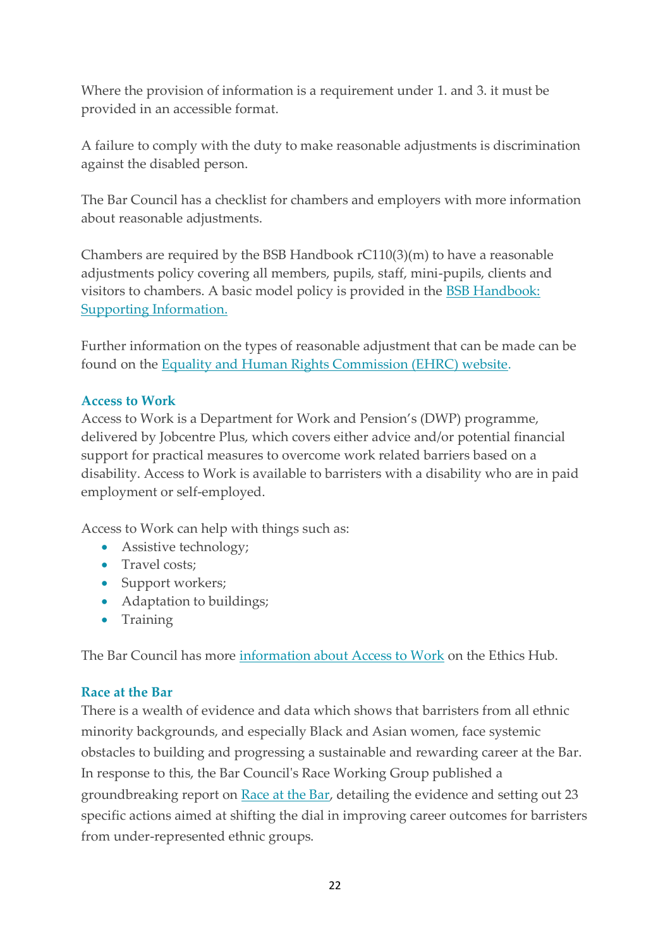Where the provision of information is a requirement under 1. and 3. it must be provided in an accessible format.

A failure to comply with the duty to make reasonable adjustments is discrimination against the disabled person.

The Bar Council has a [checklist for chambers and employers](https://www.barcouncilethics.co.uk/documents/bar-council-accessibility-self-audit-tool-for-chambers/) with more information about reasonable adjustments.

Chambers are required by the BSB Handbook rC110(3)(m) to have a reasonable adjustments policy covering all members, pupils, staff, mini-pupils, clients and visitors to chambers. A basic model policy is provided in the [BSB Handbook:](https://www.barstandardsboard.org.uk/uploads/assets/bea4dc04-7acd-49a8-98a23a4d345f644d/8b833ea5-5d8f-4d67-a1156687cbdcce27/Supporting-Info-Chambers.pdf)  [Supporting Information.](https://www.barstandardsboard.org.uk/uploads/assets/bea4dc04-7acd-49a8-98a23a4d345f644d/8b833ea5-5d8f-4d67-a1156687cbdcce27/Supporting-Info-Chambers.pdf)

Further information on the types of reasonable adjustment that can be made can be found on the [Equality and Human Rights Commission \(EHRC\) website.](https://www.equalityhumanrights.com/en/advice-and-guidance/what-are-reasonable-adjustments)

# **Access to Work**

Access to Work is a Department for Work and Pension's (DWP) programme, delivered by Jobcentre Plus, which covers either advice and/or potential financial support for practical measures to overcome work related barriers based on a disability. Access to Work is available to barristers with a disability who are in paid employment or self-employed.

Access to Work can help with things such as:

- Assistive technology;
- Travel costs:
- Support workers;
- Adaptation to buildings;
- Training

The Bar Council has more [information about Access to Work](https://www.barcouncilethics.co.uk/documents/access-work-guide/) on the Ethics Hub.

# **Race at the Bar**

There is a wealth of evidence and data which shows that barristers from all ethnic minority backgrounds, and especially Black and Asian women, face systemic obstacles to building and progressing a sustainable and rewarding career at the Bar. In response to this, the Bar Council's Race Working Group published a groundbreaking report on [Race at the Bar,](https://www.barcouncil.org.uk/uploads/assets/d821c952-ec38-41b2-a41ebeea362b28e5/Race-at-the-Bar-Report-2021.pdf) detailing the evidence and setting out 23 specific actions aimed at shifting the dial in improving career outcomes for barristers from under-represented ethnic groups.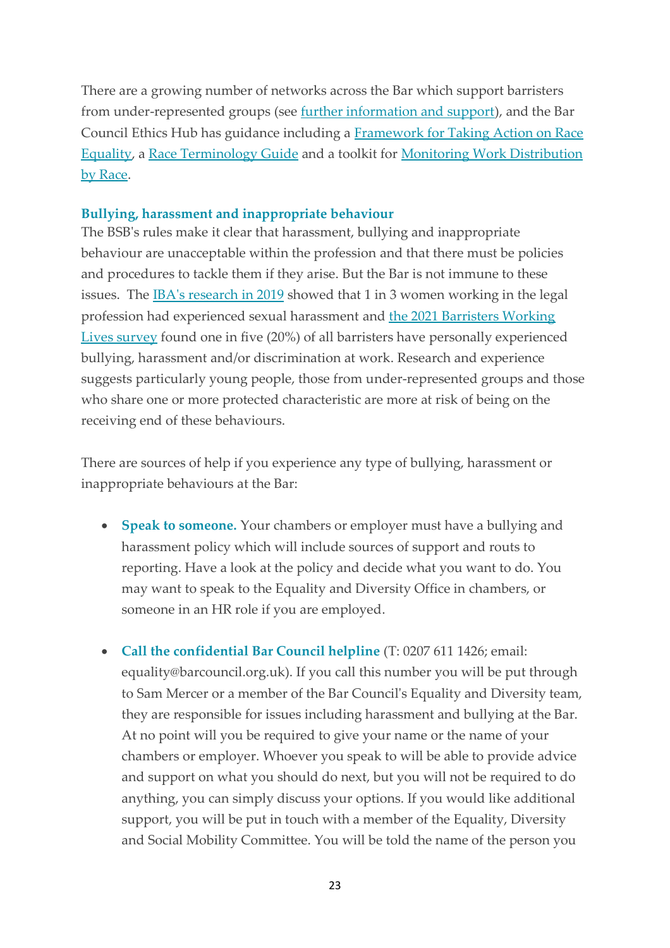There are a growing number of networks across the Bar which support barristers from under-represented groups (see [further information and support\)](#page-47-0), and the Bar Council Ethics Hub has guidance including a [Framework for Taking Action on Race](https://www.barcouncilethics.co.uk/documents/framework-for-taking-action-on-race-equality/)  [Equality,](https://www.barcouncilethics.co.uk/documents/framework-for-taking-action-on-race-equality/) a [Race Terminology Guide](https://www.barcouncilethics.co.uk/documents/race-terminology-guide/) and a toolkit for [Monitoring Work Distribution](https://www.barcouncilethics.co.uk/documents/monitoring-work-distribution-toolkit-part-2-race/)  [by Race.](https://www.barcouncilethics.co.uk/documents/monitoring-work-distribution-toolkit-part-2-race/)

#### **Bullying, harassment and inappropriate behaviour**

The BSB's rules make it clear that harassment, bullying and inappropriate behaviour are unacceptable within the profession and that there must be policies and procedures to tackle them if they arise. But the Bar is not immune to these issues. The [IBA's research in 2019](https://www.ibanet.org/bullying-and-sexual-harassment) showed that 1 in 3 women working in the legal profession had experienced sexual harassment and [the 2021 Barristers Working](file:///C:/Users/RKrys/Downloads/Barristers%20Working%20Lives%20report%202021.pdf)  [Lives survey](file:///C:/Users/RKrys/Downloads/Barristers%20Working%20Lives%20report%202021.pdf) found one in five (20%) of all barristers have personally experienced bullying, harassment and/or discrimination at work. Research and experience suggests particularly young people, those from under-represented groups and those who share one or more protected characteristic are more at risk of being on the receiving end of these behaviours.

There are sources of help if you experience any type of bullying, harassment or inappropriate behaviours at the Bar:

- **Speak to someone.** Your chambers or employer must have a bullying and harassment policy which will include sources of support and routs to reporting. Have a look at the policy and decide what you want to do. You may want to speak to the Equality and Diversity Office in chambers, or someone in an HR role if you are employed.
- **Call the confidential Bar Council helpline** (T: 0207 611 1426; email: equality@barcouncil.org.uk). If you call this number you will be put through to Sam Mercer or a member of the Bar Council's Equality and Diversity team, they are responsible for issues including harassment and bullying at the Bar. At no point will you be required to give your name or the name of your chambers or employer. Whoever you speak to will be able to provide advice and support on what you should do next, but you will not be required to do anything, you can simply discuss your options. If you would like additional support, you will be put in touch with a member of the Equality, Diversity and Social Mobility Committee. You will be told the name of the person you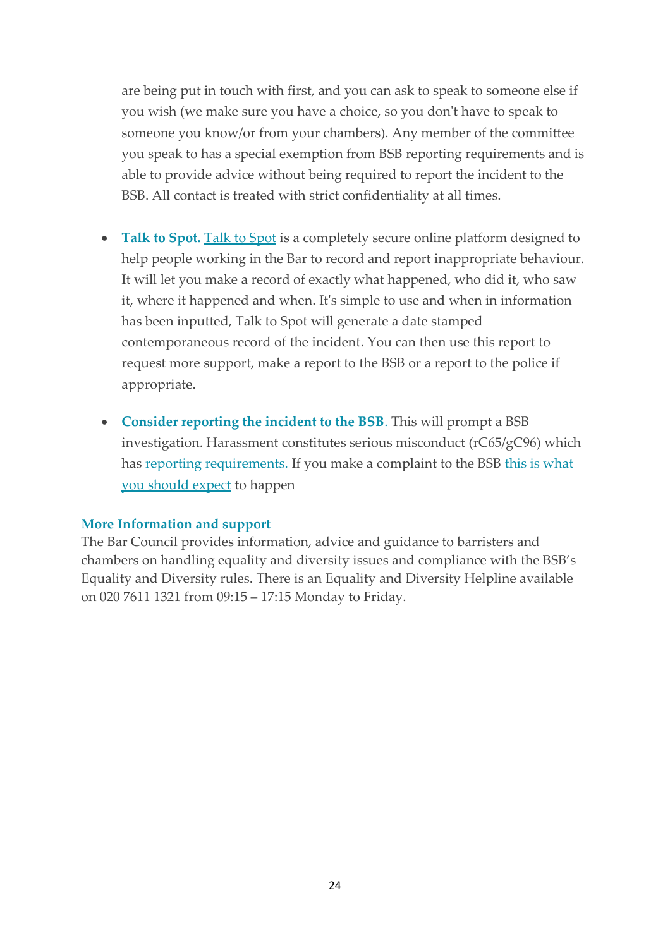are being put in touch with first, and you can ask to speak to someone else if you wish (we make sure you have a choice, so you don't have to speak to someone you know/or from your chambers). Any member of the committee you speak to has a special exemption from BSB reporting requirements and is able to provide advice without being required to report the incident to the BSB. All contact is treated with strict confidentiality at all times.

- **[Talk to Spot](https://www.barcouncil.org.uk/support-for-barristers/equality-diversity-and-inclusion/talk-to-spot.html).** Talk to Spot is a completely secure online platform designed to help people working in the Bar to record and report inappropriate behaviour. It will let you make a record of exactly what happened, who did it, who saw it, where it happened and when. It's simple to use and when in information has been inputted, Talk to Spot will generate a date stamped contemporaneous record of the incident. You can then use this report to request more support, make a report to the BSB or a report to the police if appropriate.
- **Consider reporting the incident to the BSB**. This will prompt a BSB investigation. Harassment constitutes serious misconduct (rC65/gC96) which has [reporting requirements.](https://www.barstandardsboard.org.uk/complaints-and-professional%20conduct/obligations-to-report-serious-misconduct/) If you make a complaint to the BSB this is what [you should expect](https://www.barstandardsboard.org.uk/complaints-and-professional%20conduct/making-a-complaint/what-will-happen-as-a-result-of-your-complaint/) to happen

#### **More Information and support**

The Bar Council provides information, advice and guidance to barristers and chambers on handling equality and diversity issues and compliance with the BSB's Equality and Diversity rules. There is an Equality and Diversity Helpline available on 020 7611 1321 from 09:15 – 17:15 Monday to Friday.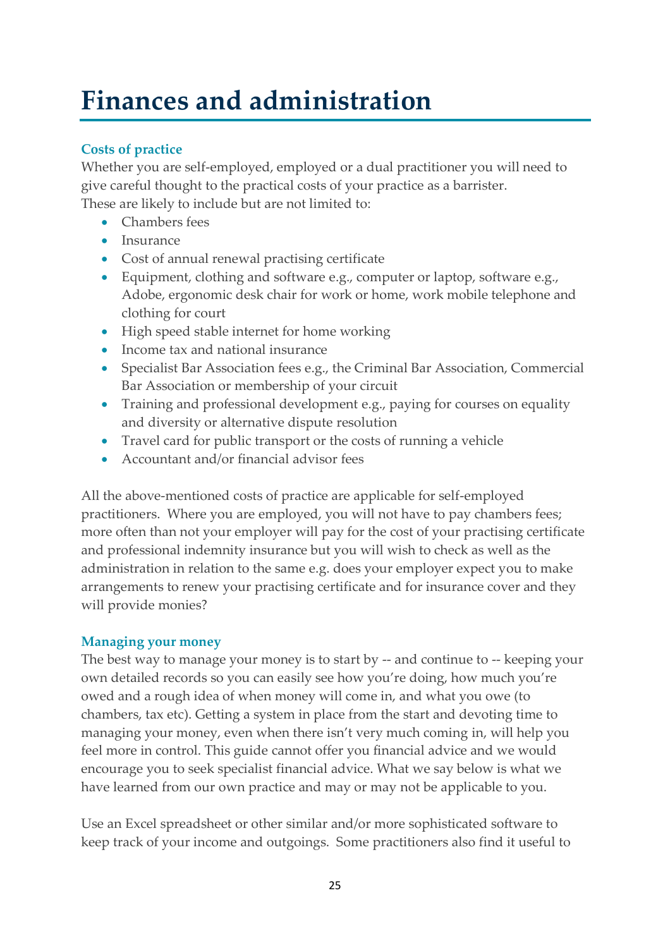# <span id="page-25-0"></span>**Finances and administration**

# **Costs of practice**

Whether you are self-employed, employed or a dual practitioner you will need to give careful thought to the practical costs of your practice as a barrister. These are likely to include but are not limited to:

- Chambers fees
- Insurance
- Cost of annual renewal practising certificate
- Equipment, clothing and software e.g., computer or laptop, software e.g., Adobe, ergonomic desk chair for work or home, work mobile telephone and clothing for court
- High speed stable internet for home working
- Income tax and national insurance
- Specialist Bar Association fees e.g., the Criminal Bar Association, Commercial Bar Association or membership of your circuit
- Training and professional development e.g., paying for courses on equality and diversity or alternative dispute resolution
- Travel card for public transport or the costs of running a vehicle
- Accountant and/or financial advisor fees

All the above-mentioned costs of practice are applicable for self-employed practitioners. Where you are employed, you will not have to pay chambers fees; more often than not your employer will pay for the cost of your practising certificate and professional indemnity insurance but you will wish to check as well as the administration in relation to the same e.g. does your employer expect you to make arrangements to renew your practising certificate and for insurance cover and they will provide monies?

# **Managing your money**

The best way to manage your money is to start by -- and continue to -- keeping your own detailed records so you can easily see how you're doing, how much you're owed and a rough idea of when money will come in, and what you owe (to chambers, tax etc). Getting a system in place from the start and devoting time to managing your money, even when there isn't very much coming in, will help you feel more in control. This guide cannot offer you financial advice and we would encourage you to seek specialist financial advice. What we say below is what we have learned from our own practice and may or may not be applicable to you.

Use an Excel spreadsheet or other similar and/or more sophisticated software to keep track of your income and outgoings. Some practitioners also find it useful to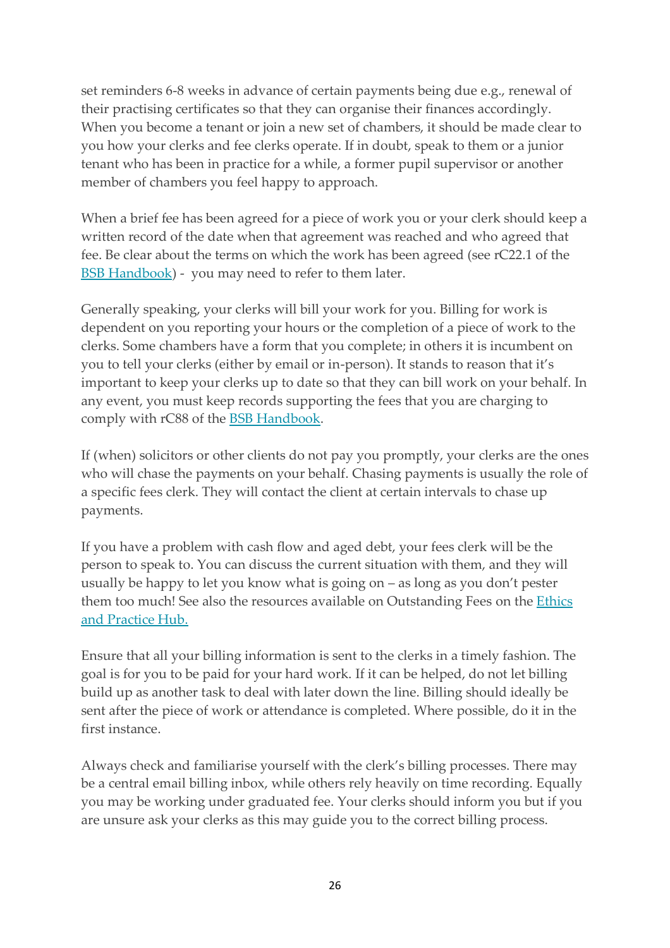set reminders 6-8 weeks in advance of certain payments being due e.g., renewal of their practising certificates so that they can organise their finances accordingly. When you become a tenant or join a new set of chambers, it should be made clear to you how your clerks and fee clerks operate. If in doubt, speak to them or a junior tenant who has been in practice for a while, a former pupil supervisor or another member of chambers you feel happy to approach.

When a brief fee has been agreed for a piece of work you or your clerk should keep a written record of the date when that agreement was reached and who agreed that fee. Be clear about the terms on which the work has been agreed (see rC22.1 of the [BSB Handbook\)](https://www.barstandardsboard.org.uk/the-bsb-handbook.html?part=E3FF76D3-9538-4B97-94C02111664E5709&audience=&q=) - you may need to refer to them later.

Generally speaking, your clerks will bill your work for you. Billing for work is dependent on you reporting your hours or the completion of a piece of work to the clerks. Some chambers have a form that you complete; in others it is incumbent on you to tell your clerks (either by email or in-person). It stands to reason that it's important to keep your clerks up to date so that they can bill work on your behalf. In any event, you must keep records supporting the fees that you are charging to comply with rC88 of the [BSB Handbook.](https://www.barstandardsboard.org.uk/the-bsb-handbook.html?part=E3FF76D3-9538-4B97-94C02111664E5709&audience=&q=)

If (when) solicitors or other clients do not pay you promptly, your clerks are the ones who will chase the payments on your behalf. Chasing payments is usually the role of a specific fees clerk. They will contact the client at certain intervals to chase up payments.

If you have a problem with cash flow and aged debt, your fees clerk will be the person to speak to. You can discuss the current situation with them, and they will usually be happy to let you know what is going on – as long as you don't pester them too much! See also the resources available on Outstanding Fees on the Ethics [and Practice Hub.](https://www.barcouncilethics.co.uk/subject/remuneration-and-contracts/)

Ensure that all your billing information is sent to the clerks in a timely fashion. The goal is for you to be paid for your hard work. If it can be helped, do not let billing build up as another task to deal with later down the line. Billing should ideally be sent after the piece of work or attendance is completed. Where possible, do it in the first instance.

Always check and familiarise yourself with the clerk's billing processes. There may be a central email billing inbox, while others rely heavily on time recording. Equally you may be working under graduated fee. Your clerks should inform you but if you are unsure ask your clerks as this may guide you to the correct billing process.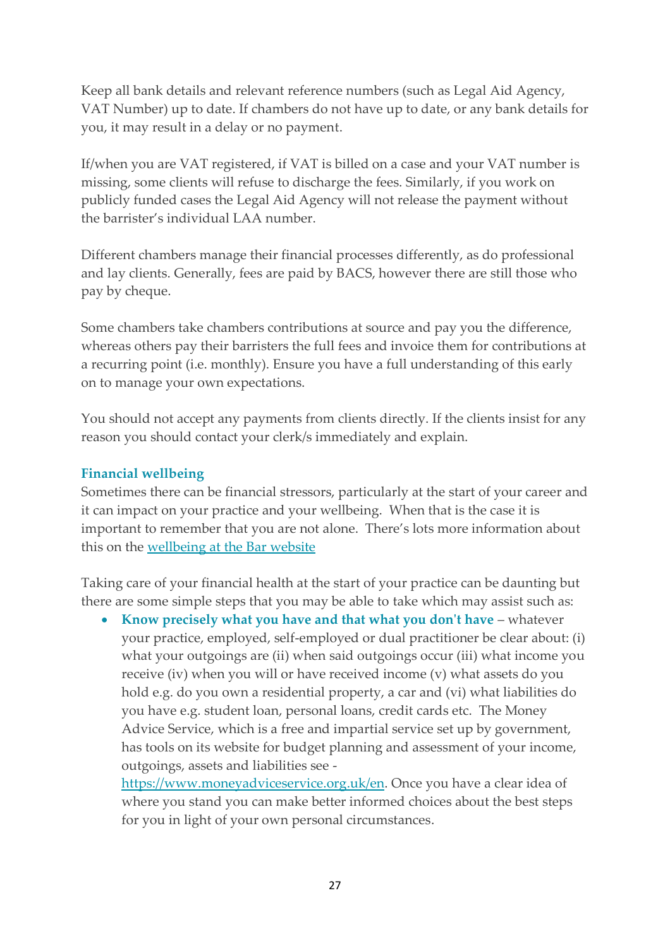Keep all bank details and relevant reference numbers (such as Legal Aid Agency, VAT Number) up to date. If chambers do not have up to date, or any bank details for you, it may result in a delay or no payment.

If/when you are VAT registered, if VAT is billed on a case and your VAT number is missing, some clients will refuse to discharge the fees. Similarly, if you work on publicly funded cases the Legal Aid Agency will not release the payment without the barrister's individual LAA number.

Different chambers manage their financial processes differently, as do professional and lay clients. Generally, fees are paid by BACS, however there are still those who pay by cheque.

Some chambers take chambers contributions at source and pay you the difference, whereas others pay their barristers the full fees and invoice them for contributions at a recurring point (i.e. monthly). Ensure you have a full understanding of this early on to manage your own expectations.

You should not accept any payments from clients directly. If the clients insist for any reason you should contact your clerk/s immediately and explain.

# **Financial wellbeing**

Sometimes there can be financial stressors, particularly at the start of your career and it can impact on your practice and your wellbeing. When that is the case it is important to remember that you are not alone. There's lots more information about this on the [wellbeing at the Bar website](https://www.wellbeingatthebar.org.uk/problems/financial-stress/)

Taking care of your financial health at the start of your practice can be daunting but there are some simple steps that you may be able to take which may assist such as:

• **Know precisely what you have and that what you don't have** – whatever your practice, employed, self-employed or dual practitioner be clear about: (i) what your outgoings are (ii) when said outgoings occur (iii) what income you receive (iv) when you will or have received income (v) what assets do you hold e.g. do you own a residential property, a car and (vi) what liabilities do you have e.g. student loan, personal loans, credit cards etc. The Money Advice Service, which is a free and impartial service set up by government, has tools on its website for budget planning and assessment of your income, outgoings, assets and liabilities see -

[https://www.moneyadviceservice.org.uk/en.](https://www.moneyadviceservice.org.uk/en) Once you have a clear idea of where you stand you can make better informed choices about the best steps for you in light of your own personal circumstances.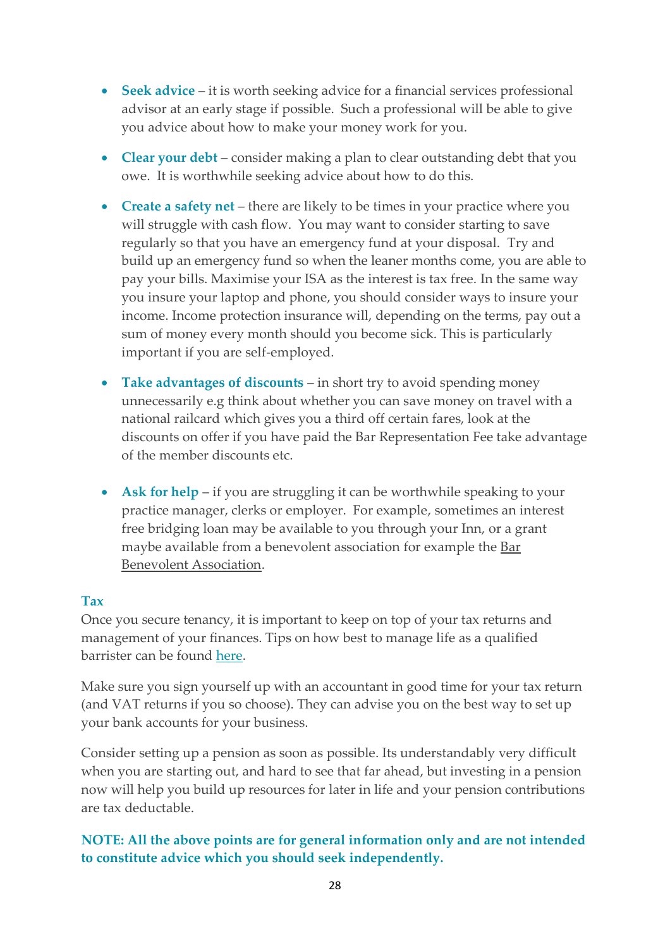- **Seek advice** it is worth seeking advice for a financial services professional advisor at an early stage if possible. Such a professional will be able to give you advice about how to make your money work for you.
- **Clear your debt** consider making a plan to clear outstanding debt that you owe. It is worthwhile seeking advice about how to do this.
- **Create a safety net** there are likely to be times in your practice where you will struggle with cash flow. You may want to consider starting to save regularly so that you have an emergency fund at your disposal. Try and build up an emergency fund so when the leaner months come, you are able to pay your bills. Maximise your ISA as the interest is tax free. In the same way you insure your laptop and phone, you should consider ways to insure your income. Income protection insurance will, depending on the terms, pay out a sum of money every month should you become sick. This is particularly important if you are self-employed.
- **Take advantages of discounts** in short try to avoid spending money unnecessarily e.g think about whether you can save money on travel with a national railcard which gives you a third off certain fares, look at the discounts on offer if you have paid the Bar Representation Fee take advantage of the member discounts etc.
- Ask for help if you are struggling it can be worthwhile speaking to your practice manager, clerks or employer. For example, sometimes an interest free bridging loan may be available to you through your Inn, or a grant maybe available from a benevolent association for example the [Bar](https://www.the-bba.com/)  [Benevolent Association.](https://www.the-bba.com/)

#### **Tax**

Once you secure tenancy, it is important to keep on top of your tax returns and management of your finances. Tips on how best to manage life as a qualified barrister can be found [here.](http://www.wellbeingatthebar.org.uk/problems/financial-stress-barristers/)

Make sure you sign yourself up with an accountant in good time for your tax return (and VAT returns if you so choose). They can advise you on the best way to set up your bank accounts for your business.

Consider setting up a pension as soon as possible. Its understandably very difficult when you are starting out, and hard to see that far ahead, but investing in a pension now will help you build up resources for later in life and your pension contributions are tax deductable.

# <span id="page-28-0"></span>**NOTE: All the above points are for general information only and are not intended to constitute advice which you should seek independently.**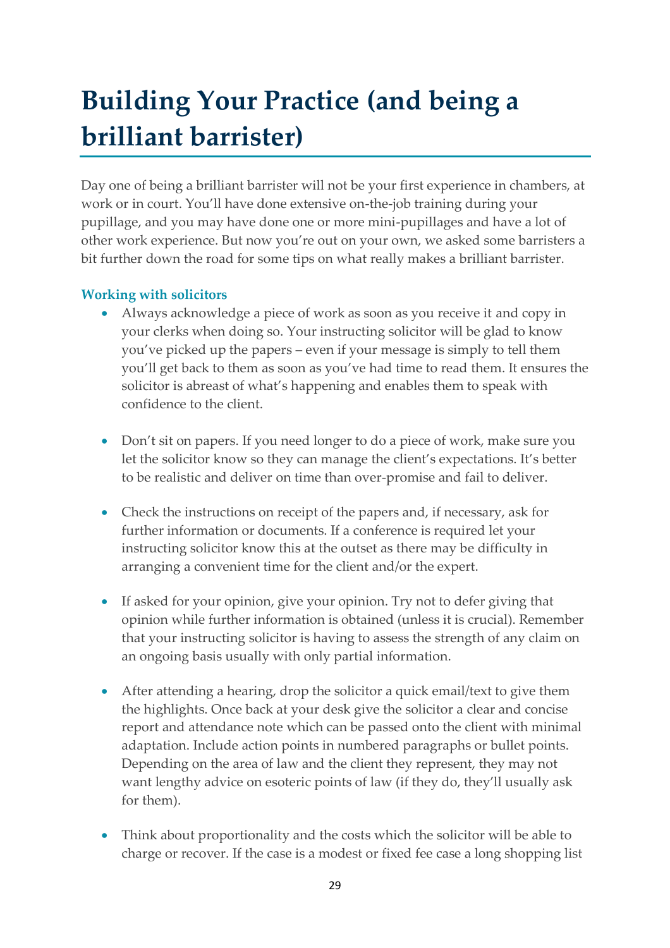# **Building Your Practice (and being a brilliant barrister)**

Day one of being a brilliant barrister will not be your first experience in chambers, at work or in court. You'll have done extensive on-the-job training during your pupillage, and you may have done one or more mini-pupillages and have a lot of other work experience. But now you're out on your own, we asked some barristers a bit further down the road for some tips on what really makes a brilliant barrister.

# **Working with solicitors**

- Always acknowledge a piece of work as soon as you receive it and copy in your clerks when doing so. Your instructing solicitor will be glad to know you've picked up the papers – even if your message is simply to tell them you'll get back to them as soon as you've had time to read them. It ensures the solicitor is abreast of what's happening and enables them to speak with confidence to the client.
- Don't sit on papers. If you need longer to do a piece of work, make sure you let the solicitor know so they can manage the client's expectations. It's better to be realistic and deliver on time than over-promise and fail to deliver.
- Check the instructions on receipt of the papers and, if necessary, ask for further information or documents. If a conference is required let your instructing solicitor know this at the outset as there may be difficulty in arranging a convenient time for the client and/or the expert.
- If asked for your opinion, give your opinion. Try not to defer giving that opinion while further information is obtained (unless it is crucial). Remember that your instructing solicitor is having to assess the strength of any claim on an ongoing basis usually with only partial information.
- After attending a hearing, drop the solicitor a quick email/text to give them the highlights. Once back at your desk give the solicitor a clear and concise report and attendance note which can be passed onto the client with minimal adaptation. Include action points in numbered paragraphs or bullet points. Depending on the area of law and the client they represent, they may not want lengthy advice on esoteric points of law (if they do, they'll usually ask for them).
- Think about proportionality and the costs which the solicitor will be able to charge or recover. If the case is a modest or fixed fee case a long shopping list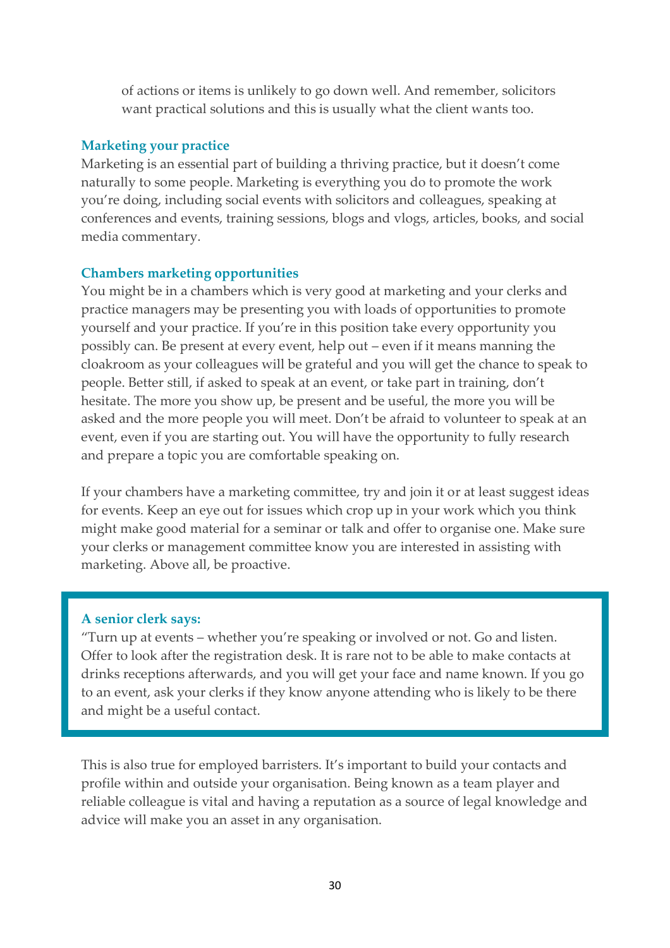of actions or items is unlikely to go down well. And remember, solicitors want practical solutions and this is usually what the client wants too.

#### **Marketing your practice**

Marketing is an essential part of building a thriving practice, but it doesn't come naturally to some people. Marketing is everything you do to promote the work you're doing, including social events with solicitors and colleagues, speaking at conferences and events, training sessions, blogs and vlogs, articles, books, and social media commentary.

#### **Chambers marketing opportunities**

You might be in a chambers which is very good at marketing and your clerks and practice managers may be presenting you with loads of opportunities to promote yourself and your practice. If you're in this position take every opportunity you possibly can. Be present at every event, help out – even if it means manning the cloakroom as your colleagues will be grateful and you will get the chance to speak to people. Better still, if asked to speak at an event, or take part in training, don't hesitate. The more you show up, be present and be useful, the more you will be asked and the more people you will meet. Don't be afraid to volunteer to speak at an event, even if you are starting out. You will have the opportunity to fully research and prepare a topic you are comfortable speaking on.

If your chambers have a marketing committee, try and join it or at least suggest ideas for events. Keep an eye out for issues which crop up in your work which you think might make good material for a seminar or talk and offer to organise one. Make sure your clerks or management committee know you are interested in assisting with marketing. Above all, be proactive.

#### **A senior clerk says:**

"Turn up at events – whether you're speaking or involved or not. Go and listen. Offer to look after the registration desk. It is rare not to be able to make contacts at drinks receptions afterwards, and you will get your face and name known. If you go to an event, ask your clerks if they know anyone attending who is likely to be there and might be a useful contact.

This is also true for employed barristers. It's important to build your contacts and profile within and outside your organisation. Being known as a team player and reliable colleague is vital and having a reputation as a source of legal knowledge and advice will make you an asset in any organisation.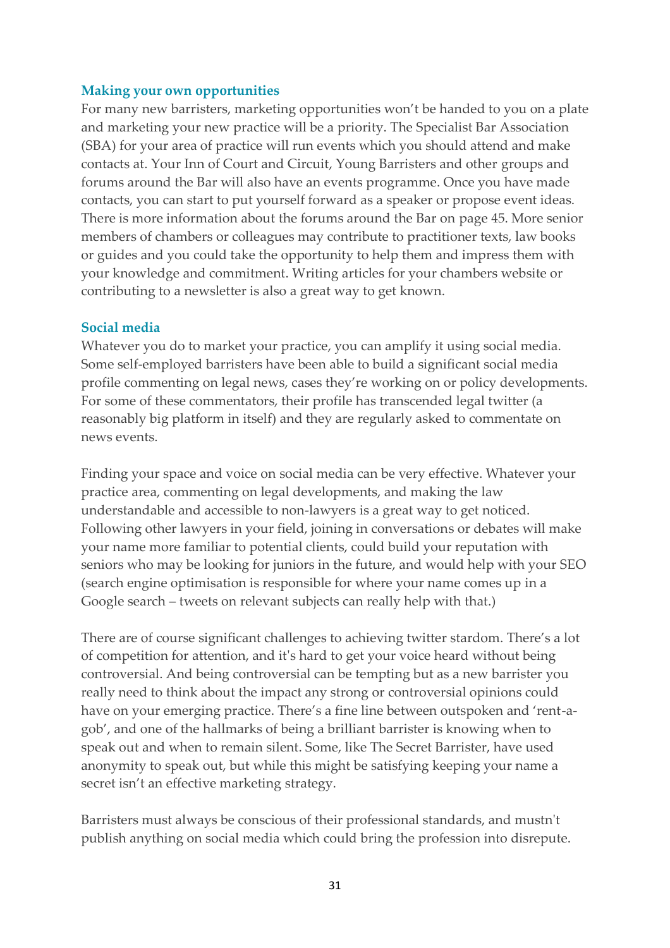#### **Making your own opportunities**

For many new barristers, marketing opportunities won't be handed to you on a plate and marketing your new practice will be a priority. The Specialist Bar Association (SBA) for your area of practice will run events which you should attend and make contacts at. Your Inn of Court and Circuit, Young Barristers and other groups and forums around the Bar will also have an events programme. Once you have made contacts, you can start to put yourself forward as a speaker or propose event ideas. There is more information about the forums around the Bar on page 45. More senior members of chambers or colleagues may contribute to practitioner texts, law books or guides and you could take the opportunity to help them and impress them with your knowledge and commitment. Writing articles for your chambers website or contributing to a newsletter is also a great way to get known.

#### **Social media**

Whatever you do to market your practice, you can amplify it using social media. Some self-employed barristers have been able to build a significant social media profile commenting on legal news, cases they're working on or policy developments. For some of these commentators, their profile has transcended legal twitter (a reasonably big platform in itself) and they are regularly asked to commentate on news events.

Finding your space and voice on social media can be very effective. Whatever your practice area, commenting on legal developments, and making the law understandable and accessible to non-lawyers is a great way to get noticed. Following other lawyers in your field, joining in conversations or debates will make your name more familiar to potential clients, could build your reputation with seniors who may be looking for juniors in the future, and would help with your SEO (search engine optimisation is responsible for where your name comes up in a Google search – tweets on relevant subjects can really help with that.)

There are of course significant challenges to achieving twitter stardom. There's a lot of competition for attention, and it's hard to get your voice heard without being controversial. And being controversial can be tempting but as a new barrister you really need to think about the impact any strong or controversial opinions could have on your emerging practice. There's a fine line between outspoken and 'rent-agob', and one of the hallmarks of being a brilliant barrister is knowing when to speak out and when to remain silent. Some, like The Secret Barrister, have used anonymity to speak out, but while this might be satisfying keeping your name a secret isn't an effective marketing strategy.

Barristers must always be conscious of their professional standards, and mustn't publish anything on social media which could bring the profession into disrepute.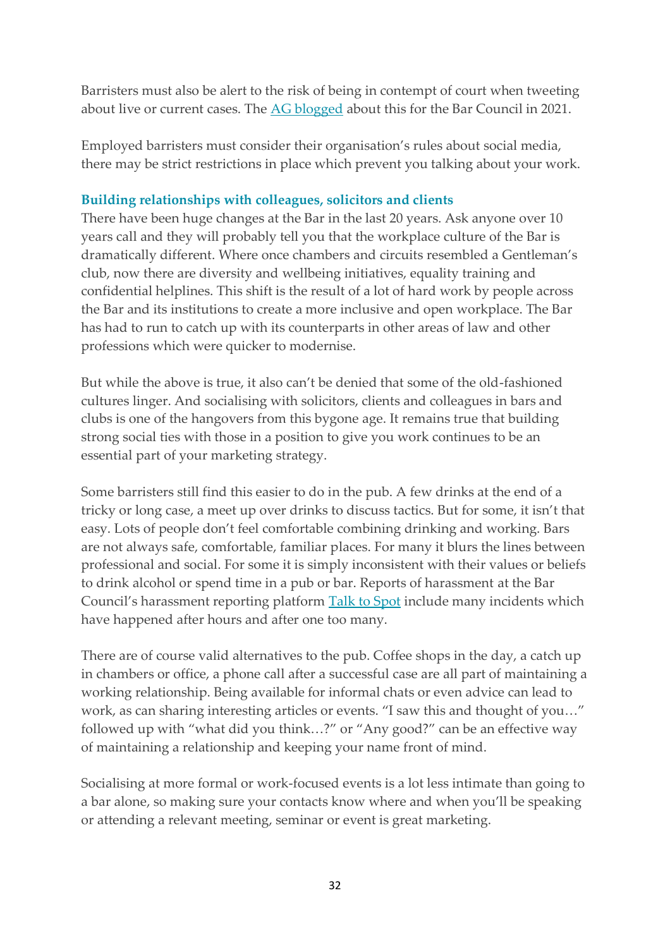Barristers must also be alert to the risk of being in contempt of court when tweeting about live or current cases. The [AG blogged](https://www.barcouncil.org.uk/resource/guest-blog-attorney-general-on-the-bar-s-role-in-tackling-contempt-of-court-on-social-media.html) about this for the Bar Council in 2021.

Employed barristers must consider their organisation's rules about social media, there may be strict restrictions in place which prevent you talking about your work.

### **Building relationships with colleagues, solicitors and clients**

There have been huge changes at the Bar in the last 20 years. Ask anyone over 10 years call and they will probably tell you that the workplace culture of the Bar is dramatically different. Where once chambers and circuits resembled a Gentleman's club, now there are diversity and wellbeing initiatives, equality training and confidential helplines. This shift is the result of a lot of hard work by people across the Bar and its institutions to create a more inclusive and open workplace. The Bar has had to run to catch up with its counterparts in other areas of law and other professions which were quicker to modernise.

But while the above is true, it also can't be denied that some of the old-fashioned cultures linger. And socialising with solicitors, clients and colleagues in bars and clubs is one of the hangovers from this bygone age. It remains true that building strong social ties with those in a position to give you work continues to be an essential part of your marketing strategy.

Some barristers still find this easier to do in the pub. A few drinks at the end of a tricky or long case, a meet up over drinks to discuss tactics. But for some, it isn't that easy. Lots of people don't feel comfortable combining drinking and working. Bars are not always safe, comfortable, familiar places. For many it blurs the lines between professional and social. For some it is simply inconsistent with their values or beliefs to drink alcohol or spend time in a pub or bar. Reports of harassment at the Bar Council's harassment reporting platform [Talk to Spot](https://app.talktospot.com/) include many incidents which have happened after hours and after one too many.

There are of course valid alternatives to the pub. Coffee shops in the day, a catch up in chambers or office, a phone call after a successful case are all part of maintaining a working relationship. Being available for informal chats or even advice can lead to work, as can sharing interesting articles or events. "I saw this and thought of you…" followed up with "what did you think…?" or "Any good?" can be an effective way of maintaining a relationship and keeping your name front of mind.

Socialising at more formal or work-focused events is a lot less intimate than going to a bar alone, so making sure your contacts know where and when you'll be speaking or attending a relevant meeting, seminar or event is great marketing.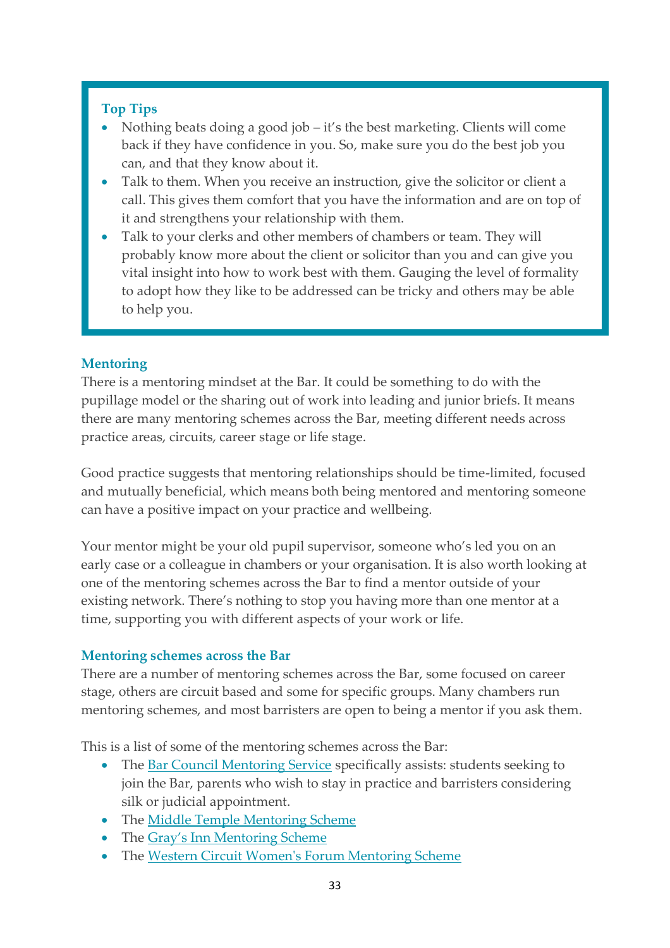# **Top Tips**

- Nothing beats doing a good job it's the best marketing. Clients will come back if they have confidence in you. So, make sure you do the best job you can, and that they know about it.
- Talk to them. When you receive an instruction, give the solicitor or client a call. This gives them comfort that you have the information and are on top of it and strengthens your relationship with them.
- Talk to your clerks and other members of chambers or team. They will probably know more about the client or solicitor than you and can give you vital insight into how to work best with them. Gauging the level of formality to adopt how they like to be addressed can be tricky and others may be able to help you.

# **Mentoring**

There is a mentoring mindset at the Bar. It could be something to do with the pupillage model or the sharing out of work into leading and junior briefs. It means there are many mentoring schemes across the Bar, meeting different needs across practice areas, circuits, career stage or life stage.

Good practice suggests that mentoring relationships should be time-limited, focused and mutually beneficial, which means both being mentored and mentoring someone can have a positive impact on your practice and wellbeing.

Your mentor might be your old pupil supervisor, someone who's led you on an early case or a colleague in chambers or your organisation. It is also worth looking at one of the mentoring schemes across the Bar to find a mentor outside of your existing network. There's nothing to stop you having more than one mentor at a time, supporting you with different aspects of your work or life.

# **Mentoring schemes across the Bar**

There are a number of mentoring schemes across the Bar, some focused on career stage, others are circuit based and some for specific groups. Many chambers run mentoring schemes, and most barristers are open to being a mentor if you ask them.

This is a list of some of the mentoring schemes across the Bar:

- The [Bar Council Mentoring Service](https://www.barcouncil.org.uk/support-for-barristers/wellbeing-personal-career-support/mentoring.html) specifically assists: students seeking to join the Bar, parents who wish to stay in practice and barristers considering silk or judicial appointment.
- The [Middle Temple Mentoring Scheme](https://www.middletemple.org.uk/members/inn-initiatives-and-events/mentoring-scheme)
- The [Gray's Inn Mentoring Scheme](https://www.graysinn.org.uk/education/barristers)
- The [Western Circuit Women's Forum Mentoring Scheme](https://westerncircuit.co.uk/womens-forum/)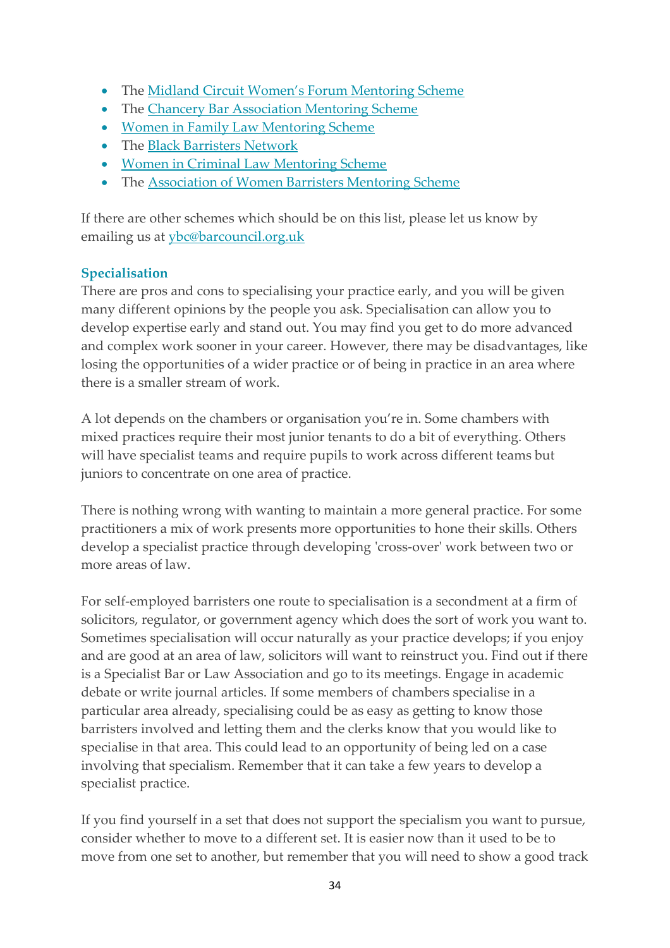- The [Midland Circuit Women's Forum Mentoring Scheme](https://www.midlandcircuit.co.uk/women-mentoring-scheme)
- The [Chancery Bar Association Mentoring Scheme](https://www.chba.org.uk/for-members/mentoring-scheme)
- [Women in Family Law Mentoring Scheme](https://womeninfamilylaw.net/mentoring/)
- The [Black Barristers Network](https://www.blackbarristersnetwork.org.uk/our-work)
- [Women in Criminal Law Mentoring Scheme](https://www.womenincriminallaw.com/mentoring)
- The [Association of Women Barristers Mentoring Scheme](https://www.womenbarristers.com/mentoring/)

If there are other schemes which should be on this list, please let us know by emailing us at **ybc@barcouncil.org.uk** 

# **Specialisation**

There are pros and cons to specialising your practice early, and you will be given many different opinions by the people you ask. Specialisation can allow you to develop expertise early and stand out. You may find you get to do more advanced and complex work sooner in your career. However, there may be disadvantages, like losing the opportunities of a wider practice or of being in practice in an area where there is a smaller stream of work.

A lot depends on the chambers or organisation you're in. Some chambers with mixed practices require their most junior tenants to do a bit of everything. Others will have specialist teams and require pupils to work across different teams but juniors to concentrate on one area of practice.

There is nothing wrong with wanting to maintain a more general practice. For some practitioners a mix of work presents more opportunities to hone their skills. Others develop a specialist practice through developing 'cross-over' work between two or more areas of law.

For self-employed barristers one route to specialisation is a secondment at a firm of solicitors, regulator, or government agency which does the sort of work you want to. Sometimes specialisation will occur naturally as your practice develops; if you enjoy and are good at an area of law, solicitors will want to reinstruct you. Find out if there is a Specialist Bar or Law Association and go to its meetings. Engage in academic debate or write journal articles. If some members of chambers specialise in a particular area already, specialising could be as easy as getting to know those barristers involved and letting them and the clerks know that you would like to specialise in that area. This could lead to an opportunity of being led on a case involving that specialism. Remember that it can take a few years to develop a specialist practice.

If you find yourself in a set that does not support the specialism you want to pursue, consider whether to move to a different set. It is easier now than it used to be to move from one set to another, but remember that you will need to show a good track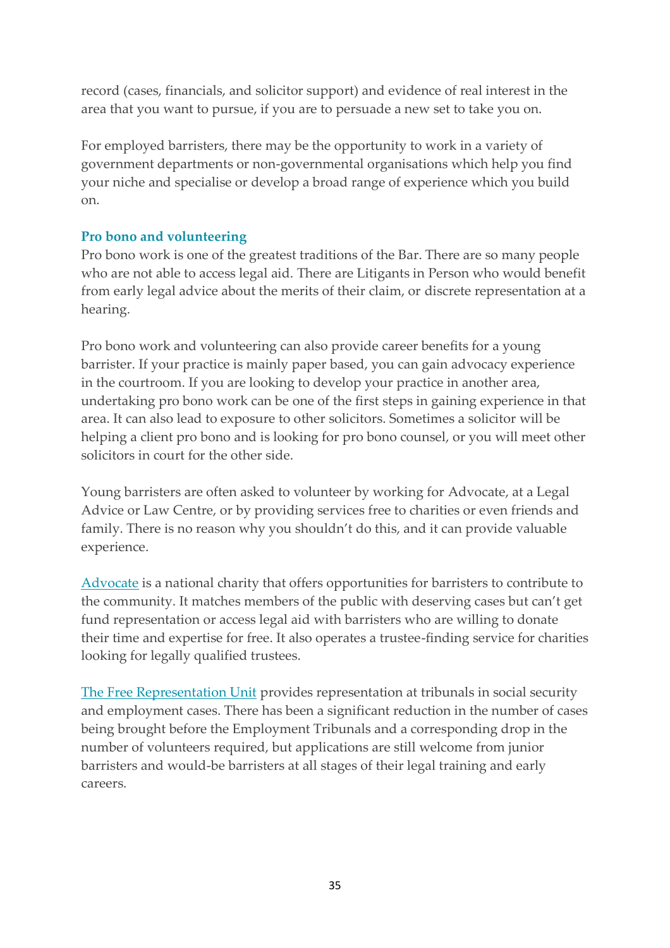record (cases, financials, and solicitor support) and evidence of real interest in the area that you want to pursue, if you are to persuade a new set to take you on.

For employed barristers, there may be the opportunity to work in a variety of government departments or non-governmental organisations which help you find your niche and specialise or develop a broad range of experience which you build on.

# **Pro bono and volunteering**

Pro bono work is one of the greatest traditions of the Bar. There are so many people who are not able to access legal aid. There are Litigants in Person who would benefit from early legal advice about the merits of their claim, or discrete representation at a hearing.

Pro bono work and volunteering can also provide career benefits for a young barrister. If your practice is mainly paper based, you can gain advocacy experience in the courtroom. If you are looking to develop your practice in another area, undertaking pro bono work can be one of the first steps in gaining experience in that area. It can also lead to exposure to other solicitors. Sometimes a solicitor will be helping a client pro bono and is looking for pro bono counsel, or you will meet other solicitors in court for the other side.

Young barristers are often asked to volunteer by working for Advocate, at a Legal Advice or Law Centre, or by providing services free to charities or even friends and family. There is no reason why you shouldn't do this, and it can provide valuable experience.

[Advocate](https://weareadvocate.org.uk/) is a national charity that offers opportunities for barristers to contribute to the community. It matches members of the public with deserving cases but can't get fund representation or access legal aid with barristers who are willing to donate their time and expertise for free. It also operates a trustee-finding service for charities looking for legally qualified trustees.

[The Free Representation Unit](http://www.thefru.org.uk/volunteers) provides representation at tribunals in social security and employment cases. There has been a significant reduction in the number of cases being brought before the Employment Tribunals and a corresponding drop in the number of volunteers required, but applications are still welcome from junior barristers and would-be barristers at all stages of their legal training and early careers.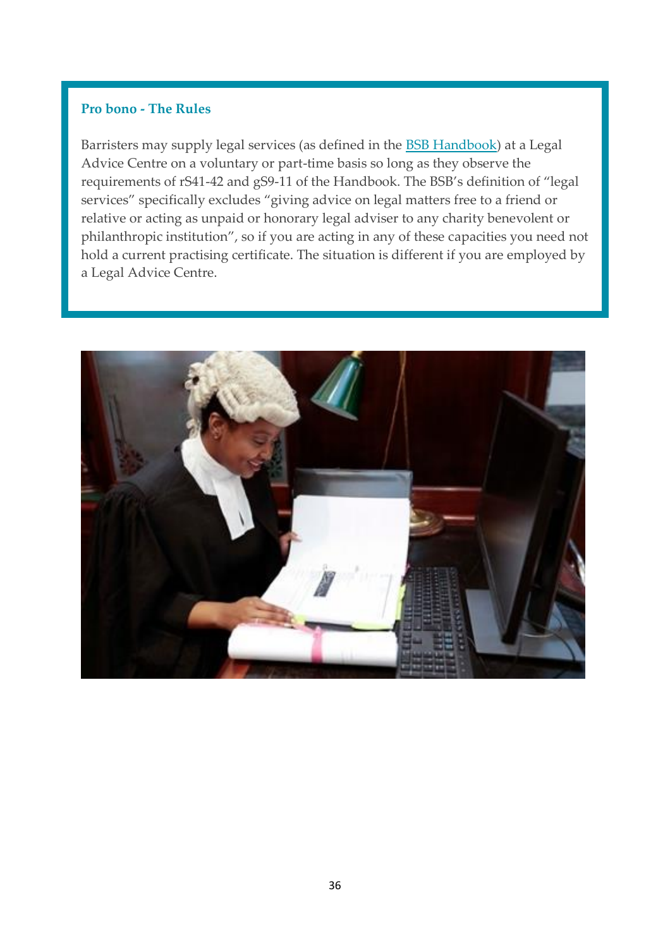#### **Pro bono - The Rules**

Barristers may supply legal services (as defined in the [BSB Handbook\)](https://www.barstandardsboard.org.uk/the-bsb-handbook.html?part=E3FF76D3-9538-4B97-94C02111664E5709&audience=&q=) at a Legal Advice Centre on a voluntary or part-time basis so long as they observe the requirements of rS41-42 and gS9-11 of the Handbook. The BSB's definition of "legal services" specifically excludes "giving advice on legal matters free to a friend or relative or acting as unpaid or honorary legal adviser to any charity benevolent or philanthropic institution", so if you are acting in any of these capacities you need not hold a current practising certificate. The situation is different if you are employed by a Legal Advice Centre.

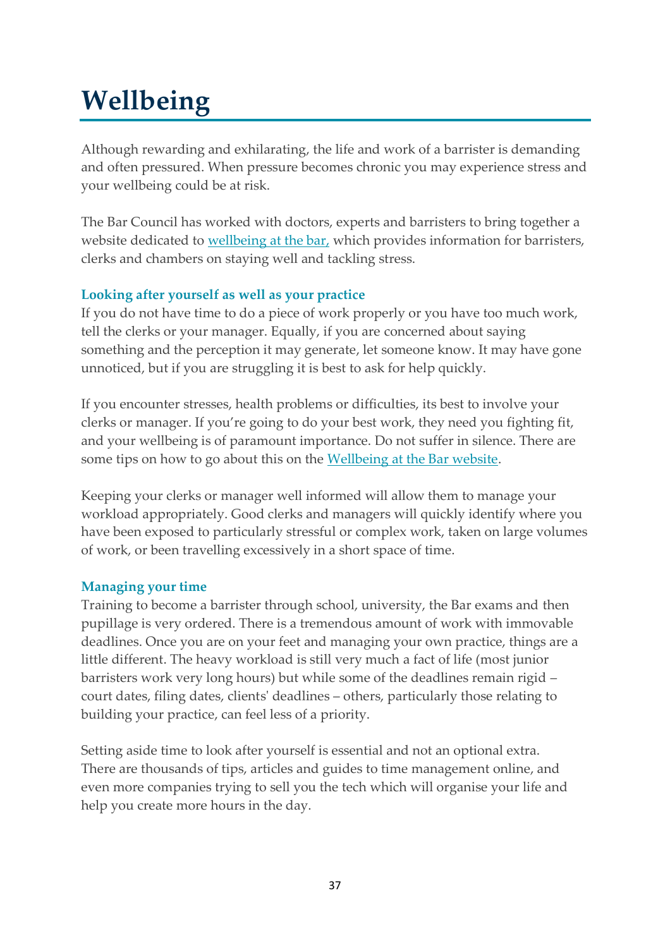# <span id="page-37-0"></span>**Wellbeing**

Although rewarding and exhilarating, the life and work of a barrister is demanding and often pressured. When pressure becomes chronic you may experience stress and your wellbeing could be at risk.

The Bar Council has worked with doctors, experts and barristers to bring together a website dedicated to [wellbeing at the bar,](https://www.wellbeingatthebar.org.uk/) which provides information for barristers, clerks and chambers on staying well and tackling stress.

# **Looking after yourself as well as your practice**

If you do not have time to do a piece of work properly or you have too much work, tell the clerks or your manager. Equally, if you are concerned about saying something and the perception it may generate, let someone know. It may have gone unnoticed, but if you are struggling it is best to ask for help quickly.

If you encounter stresses, health problems or difficulties, its best to involve your clerks or manager. If you're going to do your best work, they need you fighting fit, and your wellbeing is of paramount importance. Do not suffer in silence. There are some tips on how to go about this on the [Wellbeing at the Bar website.](https://www.wellbeingatthebar.org.uk/)

Keeping your clerks or manager well informed will allow them to manage your workload appropriately. Good clerks and managers will quickly identify where you have been exposed to particularly stressful or complex work, taken on large volumes of work, or been travelling excessively in a short space of time.

# **Managing your time**

Training to become a barrister through school, university, the Bar exams and then pupillage is very ordered. There is a tremendous amount of work with immovable deadlines. Once you are on your feet and managing your own practice, things are a little different. The heavy workload is still very much a fact of life (most junior barristers work very long hours) but while some of the deadlines remain rigid – court dates, filing dates, clients' deadlines – others, particularly those relating to building your practice, can feel less of a priority.

Setting aside time to look after yourself is essential and not an optional extra. There are thousands of tips, articles and guides to time management online, and even more companies trying to sell you the tech which will organise your life and help you create more hours in the day.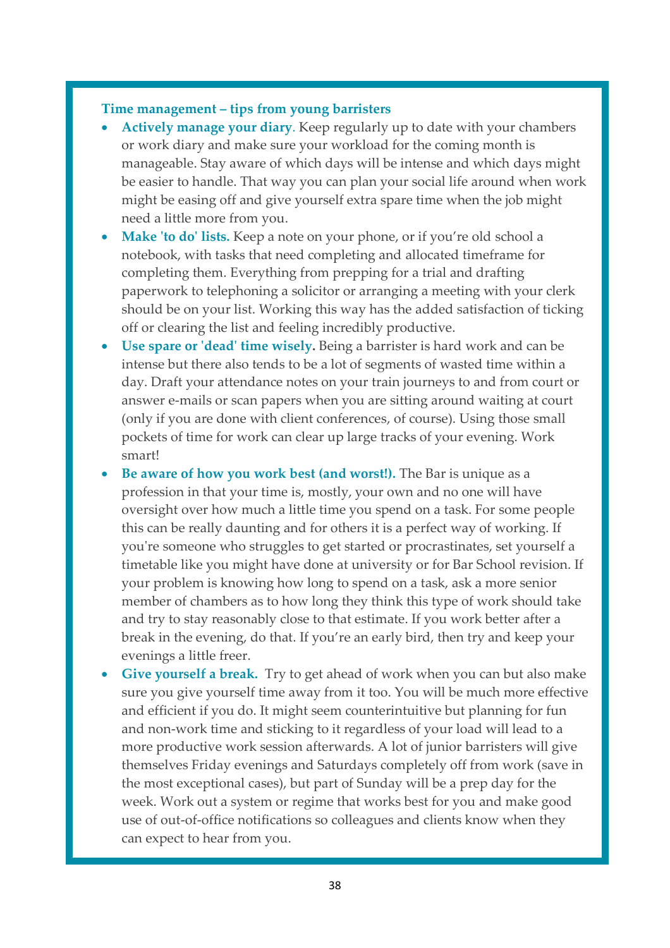#### **Time management – tips from young barristers**

- **Actively manage your diary**. Keep regularly up to date with your chambers or work diary and make sure your workload for the coming month is manageable. Stay aware of which days will be intense and which days might be easier to handle. That way you can plan your social life around when work might be easing off and give yourself extra spare time when the job might need a little more from you.
- **Make 'to do' lists.** Keep a note on your phone, or if you're old school a notebook, with tasks that need completing and allocated timeframe for completing them. Everything from prepping for a trial and drafting paperwork to telephoning a solicitor or arranging a meeting with your clerk should be on your list. Working this way has the added satisfaction of ticking off or clearing the list and feeling incredibly productive.
- **Use spare or 'dead' time wisely.** Being a barrister is hard work and can be intense but there also tends to be a lot of segments of wasted time within a day. Draft your attendance notes on your train journeys to and from court or answer e-mails or scan papers when you are sitting around waiting at court (only if you are done with client conferences, of course). Using those small pockets of time for work can clear up large tracks of your evening. Work smart!
- **Be aware of how you work best (and worst!).** The Bar is unique as a profession in that your time is, mostly, your own and no one will have oversight over how much a little time you spend on a task. For some people this can be really daunting and for others it is a perfect way of working. If you're someone who struggles to get started or procrastinates, set yourself a timetable like you might have done at university or for Bar School revision. If your problem is knowing how long to spend on a task, ask a more senior member of chambers as to how long they think this type of work should take and try to stay reasonably close to that estimate. If you work better after a break in the evening, do that. If you're an early bird, then try and keep your evenings a little freer.
- Give yourself a break. Try to get ahead of work when you can but also make sure you give yourself time away from it too. You will be much more effective and efficient if you do. It might seem counterintuitive but planning for fun and non-work time and sticking to it regardless of your load will lead to a more productive work session afterwards. A lot of junior barristers will give themselves Friday evenings and Saturdays completely off from work (save in the most exceptional cases), but part of Sunday will be a prep day for the week. Work out a system or regime that works best for you and make good use of out-of-office notifications so colleagues and clients know when they can expect to hear from you.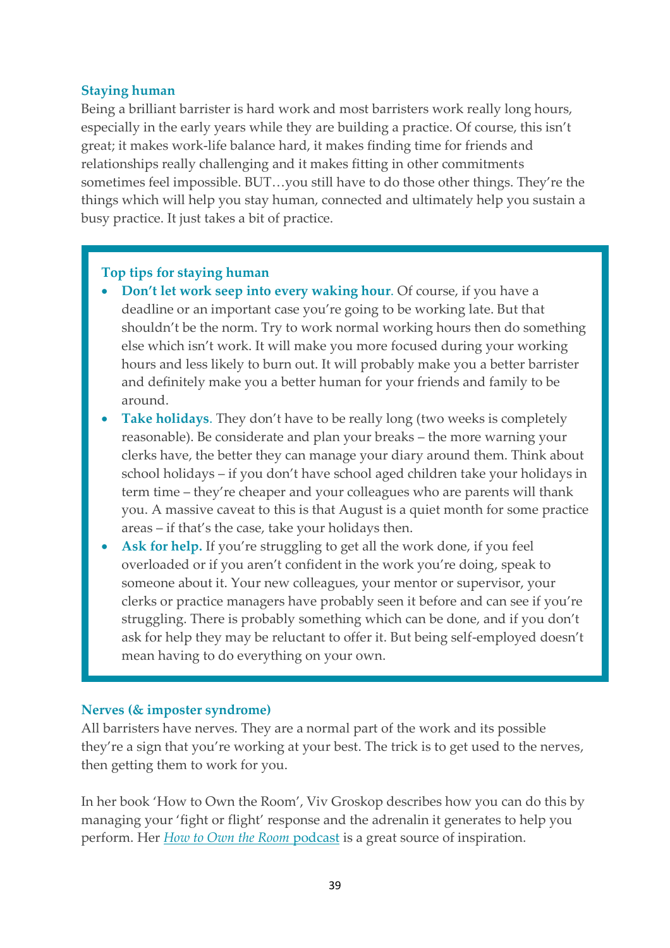#### **Staying human**

Being a brilliant barrister is hard work and most barristers work really long hours, especially in the early years while they are building a practice. Of course, this isn't great; it makes work-life balance hard, it makes finding time for friends and relationships really challenging and it makes fitting in other commitments sometimes feel impossible. BUT…you still have to do those other things. They're the things which will help you stay human, connected and ultimately help you sustain a busy practice. It just takes a bit of practice.

#### **Top tips for staying human**

- **Don't let work seep into every waking hour**. Of course, if you have a deadline or an important case you're going to be working late. But that shouldn't be the norm. Try to work normal working hours then do something else which isn't work. It will make you more focused during your working hours and less likely to burn out. It will probably make you a better barrister and definitely make you a better human for your friends and family to be around.
- **Take holidays**. They don't have to be really long (two weeks is completely reasonable). Be considerate and plan your breaks – the more warning your clerks have, the better they can manage your diary around them. Think about school holidays – if you don't have school aged children take your holidays in term time – they're cheaper and your colleagues who are parents will thank you. A massive caveat to this is that August is a quiet month for some practice areas – if that's the case, take your holidays then.
- Ask for help. If you're struggling to get all the work done, if you feel overloaded or if you aren't confident in the work you're doing, speak to someone about it. Your new colleagues, your mentor or supervisor, your clerks or practice managers have probably seen it before and can see if you're struggling. There is probably something which can be done, and if you don't ask for help they may be reluctant to offer it. But being self-employed doesn't mean having to do everything on your own.

#### **Nerves (& imposter syndrome)**

All barristers have nerves. They are a normal part of the work and its possible they're a sign that you're working at your best. The trick is to get used to the nerves, then getting them to work for you.

In her book 'How to Own the Room', Viv Groskop describes how you can do this by managing your 'fight or flight' response and the adrenalin it generates to help you perform. Her *[How to Own the Room](http://vivgroskop.com/podcast/)* podcast is a great source of inspiration.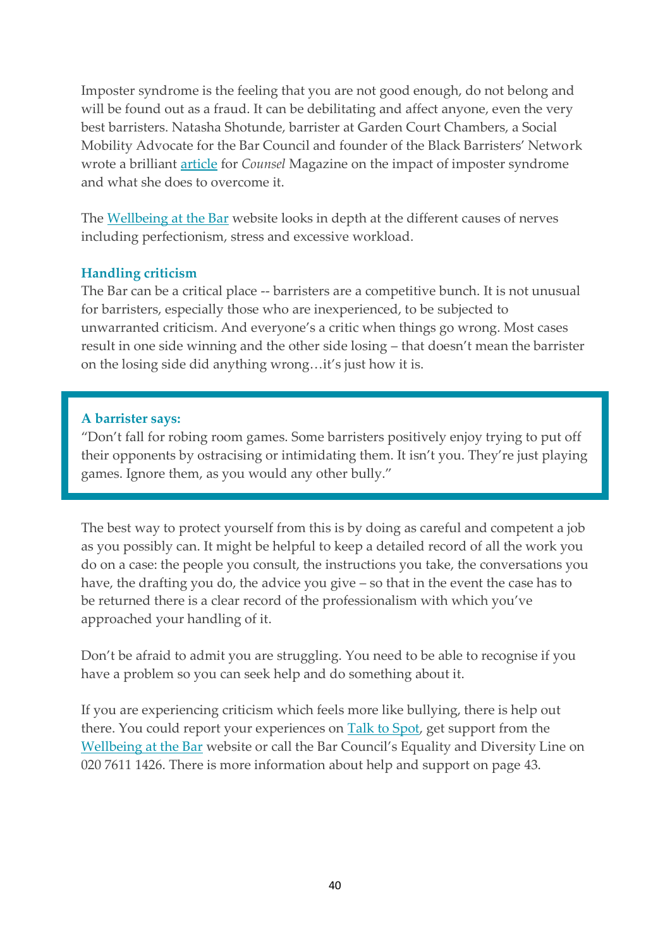Imposter syndrome is the feeling that you are not good enough, do not belong and will be found out as a fraud. It can be debilitating and affect anyone, even the very best barristers. Natasha Shotunde, barrister at Garden Court Chambers, a Social Mobility Advocate for the Bar Council and founder of the Black Barristers' Network wrote a brilliant [article](https://www.counselmagazine.co.uk/articles/overcoming-imposter-syndrome) for *Counsel* Magazine on the impact of imposter syndrome and what she does to overcome it.

The [Wellbeing at the Bar](https://www.wellbeingatthebar.org.uk/help-for-barristers/) website looks in depth at the different causes of nerves including perfectionism, stress and excessive workload.

#### **Handling criticism**

The Bar can be a critical place -- barristers are a competitive bunch. It is not unusual for barristers, especially those who are inexperienced, to be subjected to unwarranted criticism. And everyone's a critic when things go wrong. Most cases result in one side winning and the other side losing – that doesn't mean the barrister on the losing side did anything wrong…it's just how it is.

#### **A barrister says:**

"Don't fall for robing room games. Some barristers positively enjoy trying to put off their opponents by ostracising or intimidating them. It isn't you. They're just playing games. Ignore them, as you would any other bully."

The best way to protect yourself from this is by doing as careful and competent a job as you possibly can. It might be helpful to keep a detailed record of all the work you do on a case: the people you consult, the instructions you take, the conversations you have, the drafting you do, the advice you give – so that in the event the case has to be returned there is a clear record of the professionalism with which you've approached your handling of it.

Don't be afraid to admit you are struggling. You need to be able to recognise if you have a problem so you can seek help and do something about it.

If you are experiencing criticism which feels more like bullying, there is help out there. You could report your experiences on [Talk to Spot,](https://app.talktospot.com/) get support from the [Wellbeing at the Bar](https://www.wellbeingatthebar.org.uk/help-for-barristers/) website or call the Bar Council's Equality and Diversity Line on 020 7611 1426. There is more information about help and support on page 43.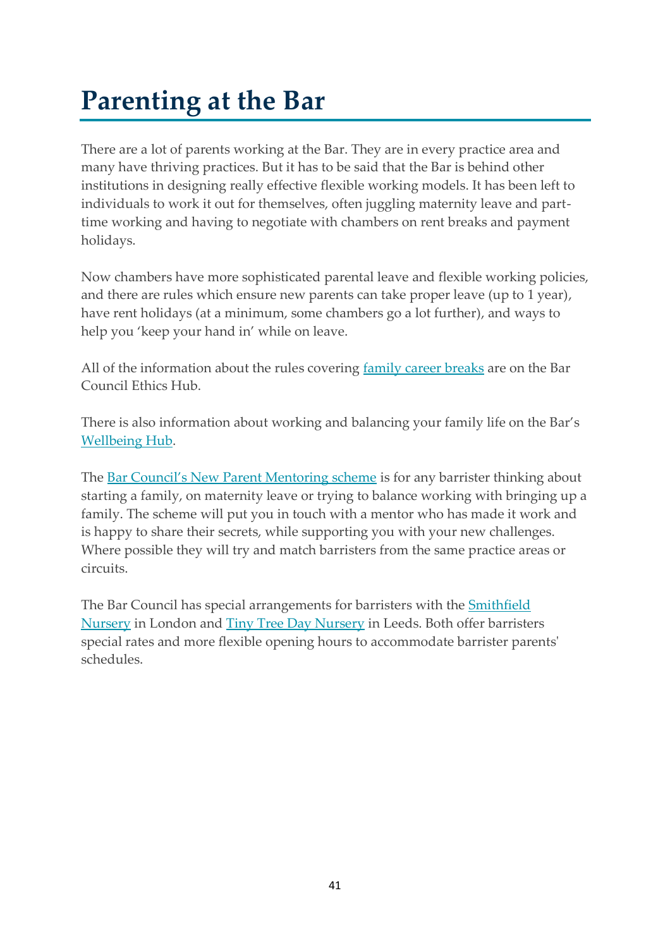# <span id="page-41-0"></span>**Parenting at the Bar**

There are a lot of parents working at the Bar. They are in every practice area and many have thriving practices. But it has to be said that the Bar is behind other institutions in designing really effective flexible working models. It has been left to individuals to work it out for themselves, often juggling maternity leave and parttime working and having to negotiate with chambers on rent breaks and payment holidays.

Now chambers have more sophisticated parental leave and flexible working policies, and there are rules which ensure new parents can take proper leave (up to 1 year), have rent holidays (at a minimum, some chambers go a lot further), and ways to help you 'keep your hand in' while on leave.

All of the information about the rules covering [family career breaks](https://www.barcouncilethics.co.uk/wp-content/uploads/2017/10/Family-Career-Breaks_Advice-Pack_2019.pdf) are on the Bar Council Ethics Hub.

There is also information about working and balancing your family life on the Bar's [Wellbeing Hub.](https://www.wellbeingatthebar.org.uk/help-for-barristers/)

The [Bar Council's New Parent Mentoring scheme](https://www.barcouncil.org.uk/support-for-barristers/wellbeing-personal-career-support/mentoring/maternity-mentoring.html) is for any barrister thinking about starting a family, on maternity leave or trying to balance working with bringing up a family. The scheme will put you in touch with a mentor who has made it work and is happy to share their secrets, while supporting you with your new challenges. Where possible they will try and match barristers from the same practice areas or circuits.

The Bar Council has special arrangements for barristers with the **[Smithfield](http://www.smithfieldnursery.co.uk/)** [Nursery](http://www.smithfieldnursery.co.uk/) in London and [Tiny Tree Day Nursery](http://www.shinechildcare.co.uk/tiny-tree-leeds/) in Leeds. Both offer barristers special rates and more flexible opening hours to accommodate barrister parents' schedules.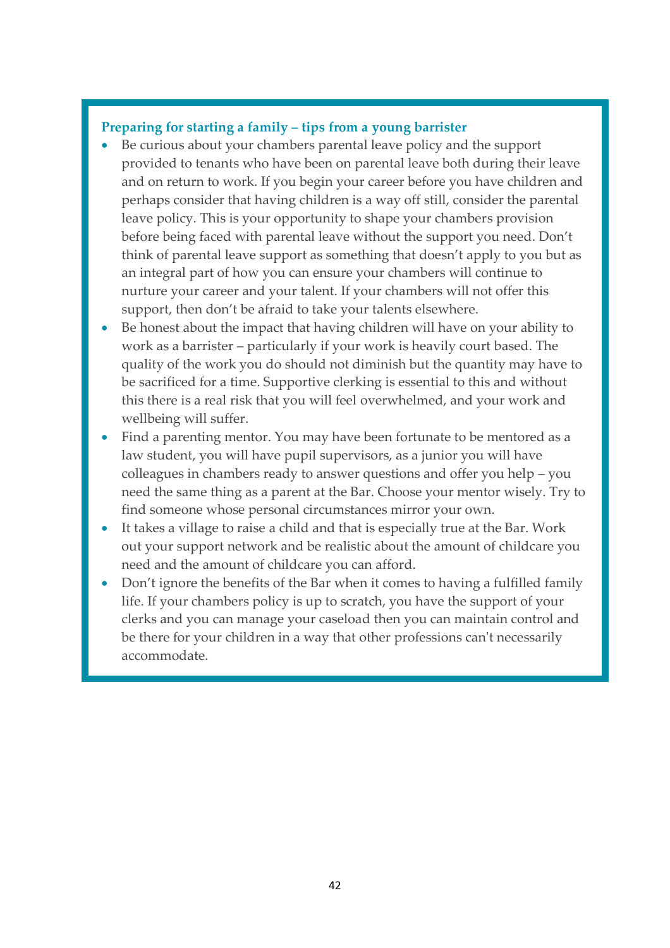#### **Preparing for starting a family – tips from a young barrister**

- Be curious about your chambers parental leave policy and the support provided to tenants who have been on parental leave both during their leave and on return to work. If you begin your career before you have children and perhaps consider that having children is a way off still, consider the parental leave policy. This is your opportunity to shape your chambers provision before being faced with parental leave without the support you need. Don't think of parental leave support as something that doesn't apply to you but as an integral part of how you can ensure your chambers will continue to nurture your career and your talent. If your chambers will not offer this support, then don't be afraid to take your talents elsewhere.
- Be honest about the impact that having children will have on your ability to work as a barrister – particularly if your work is heavily court based. The quality of the work you do should not diminish but the quantity may have to be sacrificed for a time. Supportive clerking is essential to this and without this there is a real risk that you will feel overwhelmed, and your work and wellbeing will suffer.
- Find a parenting mentor. You may have been fortunate to be mentored as a law student, you will have pupil supervisors, as a junior you will have colleagues in chambers ready to answer questions and offer you help – you need the same thing as a parent at the Bar. Choose your mentor wisely. Try to find someone whose personal circumstances mirror your own.
- It takes a village to raise a child and that is especially true at the Bar. Work out your support network and be realistic about the amount of childcare you need and the amount of childcare you can afford.
- Don't ignore the benefits of the Bar when it comes to having a fulfilled family life. If your chambers policy is up to scratch, you have the support of your clerks and you can manage your caseload then you can maintain control and be there for your children in a way that other professions can't necessarily accommodate.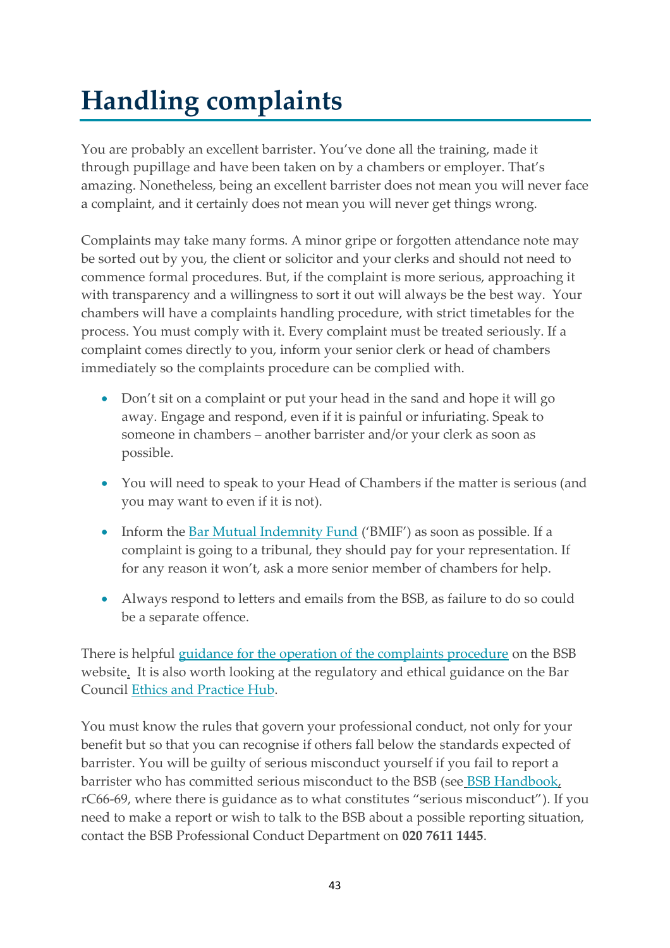# <span id="page-43-0"></span>**Handling complaints**

You are probably an excellent barrister. You've done all the training, made it through pupillage and have been taken on by a chambers or employer. That's amazing. Nonetheless, being an excellent barrister does not mean you will never face a complaint, and it certainly does not mean you will never get things wrong.

Complaints may take many forms. A minor gripe or forgotten attendance note may be sorted out by you, the client or solicitor and your clerks and should not need to commence formal procedures. But, if the complaint is more serious, approaching it with transparency and a willingness to sort it out will always be the best way. Your chambers will have a complaints handling procedure, with strict timetables for the process. You must comply with it. Every complaint must be treated seriously. If a complaint comes directly to you, inform your senior clerk or head of chambers immediately so the complaints procedure can be complied with.

- Don't sit on a complaint or put your head in the sand and hope it will go away. Engage and respond, even if it is painful or infuriating. Speak to someone in chambers – another barrister and/or your clerk as soon as possible.
- You will need to speak to your Head of Chambers if the matter is serious (and you may want to even if it is not).
- Inform the [Bar Mutual Indemnity Fund](https://www.barmutual.co.uk/) ('BMIF') as soon as possible. If a complaint is going to a tribunal, they should pay for your representation. If for any reason it won't, ask a more senior member of chambers for help.
- Always respond to letters and emails from the BSB, as failure to do so could be a separate offence.

There is helpful [guidance for the operation of the complaints procedure](https://www.barstandardsboard.org.uk/for-barristers/what-we-do-if-we-investigate-a-concern-about-you.html) on the BSB websit[e.](https://www.barstandardsboard.org.uk/code-guidance/first-tier-complaints-handling/) It is also worth looking at the regulatory and ethical guidance on the Bar Council [Ethics and Practice Hub.](https://www.barcouncilethics.co.uk/)

You must know the rules that govern your professional conduct, not only for your benefit but so that you can recognise if others fall below the standards expected of barrister. You will be guilty of serious misconduct yourself if you fail to report a barrist[e](https://www.barstandardsboard.org.uk/regulatory-requirements/bsb-handbook/the-handbook-publication/)r who has committed serious misconduct to the BSB (see [BSB Handbook,](https://www.barstandardsboard.org.uk/regulatory-requirements/bsb-handbook/the-handbook-publication/) rC66-69, where there is guidance as to what constitutes "serious misconduct"). If you need to make a report or wish to talk to the BSB about a possible reporting situation, contact the BSB Professional Conduct Department on **020 7611 1445**.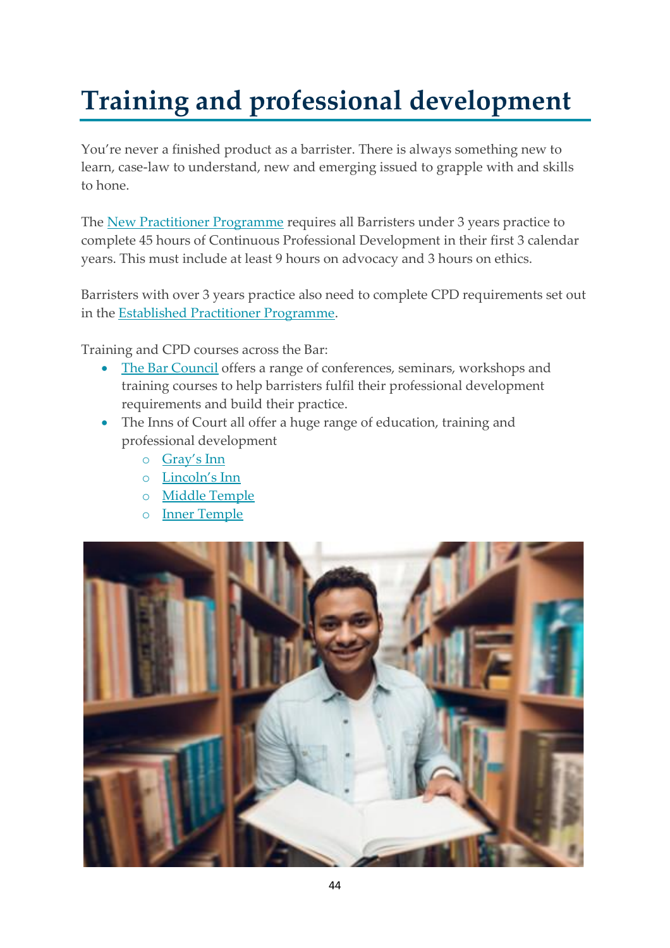# <span id="page-44-0"></span>**Training and professional development**

You're never a finished product as a barrister. There is always something new to learn, case-law to understand, new and emerging issued to grapple with and skills to hone.

The [New Practitioner Programme](https://www.barstandardsboard.org.uk/for-barristers/cpd/guide-to-npp.html) requires all Barristers under 3 years practice to complete 45 hours of Continuous Professional Development in their first 3 calendar years. This must include at least 9 hours on advocacy and 3 hours on ethics.

Barristers with over 3 years practice also need to complete CPD requirements set out in the [Established Practitioner Programme.](https://www.barstandardsboard.org.uk/for-barristers/cpd/guide-to-epp.html)

Training and CPD courses across the Bar:

- [The Bar Council](https://www.barcouncil.org.uk/training-events.html) offers a range of conferences, seminars, workshops and training courses to help barristers fulfil their professional development requirements and build their practice.
- The Inns of Court all offer a huge range of education, training and professional development
	- o [Gray's Inn](https://www.graysinn.org.uk/education)
	- o [Lincoln's Inn](https://www.lincolnsinn.org.uk/members/education-training/)
	- o [Middle Temple](http://www.middletemple.org.uk/education-and-training)
	- o [Inner Temple](http://www.innertemple.org.uk/education)

![](_page_44_Picture_11.jpeg)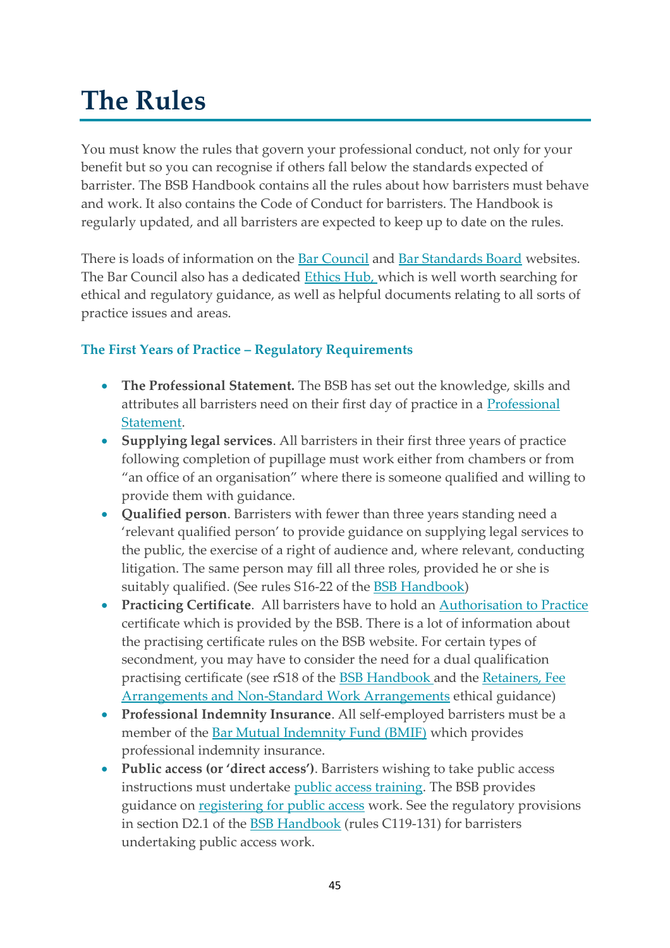# <span id="page-45-0"></span>**The Rules**

You must know the rules that govern your professional conduct, not only for your benefit but so you can recognise if others fall below the standards expected of barrister. The [BSB Handbook](https://www.barstandardsboard.org.uk/the-bsb-handbook.html) contains all the rules about how barristers must behave and work. It also contains the [Code of Conduct](https://www.barstandardsboard.org.uk/the-bsb-handbook.html?part=E3FF76D3-9538-4B97-94C02111664E5709&audience=&q=) for barristers. The Handbook is regularly updated, and all barristers are expected to keep up to date on the rules.

There is loads of information on the **Bar Council and [Bar Standards Bo](https://www.barstandardsboard.org.uk/for-barristers/bsb-handbook-and-code-guidance/code.html)ard** websites. The Bar Council also has a dedicated [Ethics Hub,](https://www.barcouncilethics.co.uk/) which is well worth searching for ethical and regulatory guidance, as well as helpful documents relating to all sorts of practice issues and areas.

# **The First Years of Practice – Regulatory Requirements**

- **The Professional Statement.** The BSB has set out the knowledge, skills and attributes all barristers need on their first day of practice in a [Professional](https://www.barstandardsboard.org.uk/training-qualification/the-professional-statement.html)  [Statement.](https://www.barstandardsboard.org.uk/training-qualification/the-professional-statement.html)
- **Supplying legal services**. All barristers in their first three years of practice following completion of pupillage must work either from chambers or from "an office of an organisation" where there is someone qualified and willing to provide them with guidance.
- **Qualified person**. Barristers with fewer than three years standing need a 'relevant qualified person' to provide guidance on supplying legal services to the public, the exercise of a right of audience and, where relevant, conducting litigation. The same person may fill all three roles, provided he or she is suitably qualified. (See rules S16-22 of the [BSB Handbook\)](https://www.barstandardsboard.org.uk/the-bsb-handbook.html?part=E3FF76D3-9538-4B97-94C02111664E5709&audience=&q=)
- **Practicing Certificate**. All barristers have to hold an [Authorisation to Practice](https://www.barstandardsboard.org.uk/for-barristers/authorisation-to-practise.html) certificate which is provided by the BSB. There is a lot of information about the practising certificate rules on the BSB website. For certain types of secondment, you may have to consider the need for a dual qualification practising certificate (see rS18 of the [BSB Handbook](https://www.barstandardsboard.org.uk/the-bsb-handbook.html?part=E3FF76D3-9538-4B97-94C02111664E5709&audience=&q=) and the [Retainers, Fee](https://www.barcouncilethics.co.uk/documents/retainers-fee-arrangements-non-standard-work-arrangements/)  [Arrangements and Non-Standard Work Arrangements](https://www.barcouncilethics.co.uk/documents/retainers-fee-arrangements-non-standard-work-arrangements/) ethical guidance)
- **Professional Indemnity Insurance**. All self-employed barristers must be a member of the [Bar Mutual Indemnity Fund \(BMIF\)](https://www.barmutual.co.uk/) which provides professional indemnity insurance.
- **Public access (or 'direct access')**. Barristers wishing to take public access instructions must undertake [public access training.](https://www.barcouncil.org.uk/training-events/calendar/public-access-for-barristers-september.html) The BSB provides guidance on [registering for public access](https://www.barstandardsboard.org.uk/for-barristers/public-and-licensed-access/public-access-training-and-guidance.html) work. See the regulatory provisions in section D2.1 of the **BSB Handbook** (rules C119-131) for barristers undertaking public access work.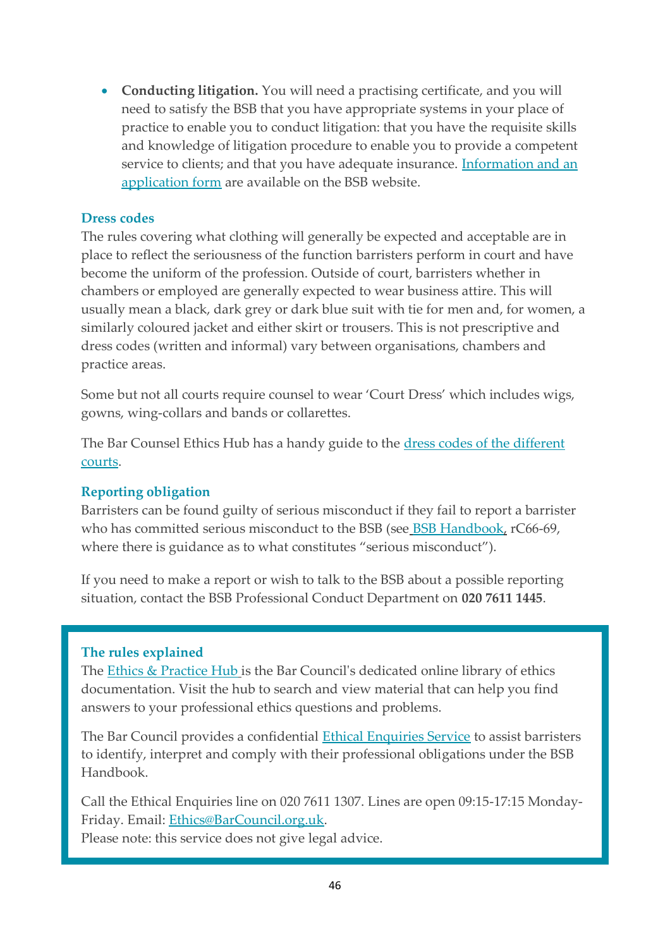• **Conducting litigation.** You will need a practising certificate, and you will need to satisfy the BSB that you have appropriate systems in your place of practice to enable you to conduct litigation: that you have the requisite skills and knowledge of litigation procedure to enable you to provide a competent service to clients; and that you have adequate insurance. Information and an [application form](https://www.barstandardsboard.org.uk/for-barristers/conducting-litigation.html) are available on the BSB website.

# **Dress codes**

The rules covering what clothing will generally be expected and acceptable are in place to reflect the seriousness of the function barristers perform in court and have become the uniform of the profession. Outside of court, barristers whether in chambers or employed are generally expected to wear business attire. This will usually mean a black, dark grey or dark blue suit with tie for men and, for women, a similarly coloured jacket and either skirt or trousers. This is not prescriptive and dress codes (written and informal) vary between organisations, chambers and practice areas.

Some but not all courts require counsel to wear 'Court Dress' which includes wigs, gowns, wing-collars and bands or collarettes.

The Bar Counsel Ethics Hub has a handy guide to the [dress codes of the different](https://www.barcouncilethics.co.uk/wp-content/uploads/2017/10/Bar-Council_Guide-on-Court-Dress_July-2020-2.pdf)  [courts.](https://www.barcouncilethics.co.uk/wp-content/uploads/2017/10/Bar-Council_Guide-on-Court-Dress_July-2020-2.pdf)

# **Reporting obligation**

Barristers can be found guilty of serious misconduct if they fail to report a barrister who has committ[e](https://www.barstandardsboard.org.uk/regulatory-requirements/bsb-handbook/the-handbook-publication/)d serious misconduct to the BSB (see [BSB Handbook,](https://www.barstandardsboard.org.uk/regulatory-requirements/bsb-handbook/the-handbook-publication/) rC66-69, where there is guidance as to what constitutes "serious misconduct").

If you need to make a report or wish to talk to the BSB about a possible reporting situation, contact the BSB Professional Conduct Department on **020 7611 1445**.

#### **The rules explained**

The [Ethics & Practice Hub](https://www.barcouncilethics.co.uk/) is the Bar Council's dedicated online library of ethics documentation. Visit the hub to search and view material that can help you find answers to your professional ethics questions and problems.

The Bar Council provides a confidential [Ethical Enquiries Service](https://www.barcouncil.org.uk/support-for-barristers/ethics.html) to assist barristers to identify, interpret and comply with their professional obligations under the BSB Handbook.

Call the Ethical Enquiries line on 020 7611 1307. Lines are open 09:15-17:15 Monday-Friday. Email: [Ethics@BarCouncil.org.uk.](mailto:Ethics@BarCouncil.org.uk)

Please note: this service does not give legal advice.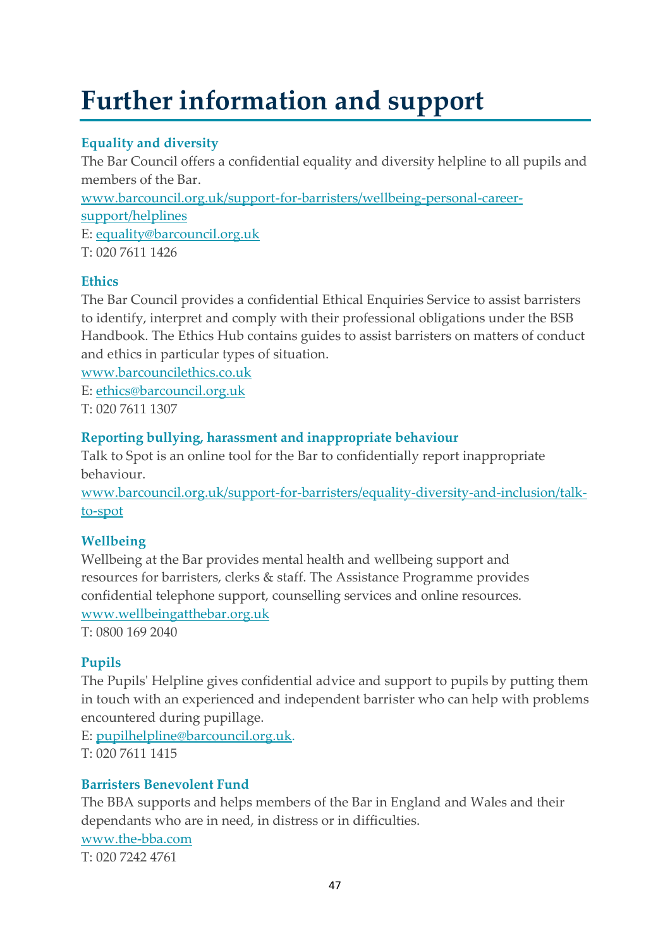# <span id="page-47-0"></span>**Further information and support**

# **Equality and diversity**

The Bar Council offers a confidential equality and diversity helpline to all pupils and members of the Bar. www.barcouncil.org.uk/support-for-barristers/wellbeing-personal-careersupport/helplines E: equality@barcouncil.org.uk T: 020 7611 1426

# **Ethics**

The Bar Council provides a confidential Ethical Enquiries Service to assist barristers to identify, interpret and comply with their professional obligations under the BSB Handbook. The Ethics Hub contains guides to assist barristers on matters of conduct and ethics in particular types of situation.

www.barcouncilethics.co.uk E: [ethics@barcouncil.org.uk](mailto:ethics@barcouncil.org.uk) T: 020 7611 1307

# **Reporting bullying, harassment and inappropriate behaviour**

Talk to Spot is an online tool for the Bar to confidentially report inappropriate behaviour.

www.barcouncil.org.uk/support-for-barristers/equality-diversity-and-inclusion/talkto-spot

# **Wellbeing**

Wellbeing at the Bar provides mental health and wellbeing support and resources for barristers, clerks & staff. The Assistance Programme provides confidential telephone support, counselling services and online resources. www.wellbeingatthebar.org.uk

T: 0800 169 2040

# **Pupils**

The Pupils' Helpline gives confidential advice and support to pupils by putting them in touch with an experienced and independent barrister who can help with problems encountered during pupillage.

E: [pupilhelpline@barcouncil.org.uk.](javascript:void(location.href=) T: 020 7611 1415

# **Barristers Benevolent Fund**

The BBA supports and helps members of the Bar in England and Wales and their dependants who are in need, in distress or in difficulties. www.the-bba.com T: 020 7242 4761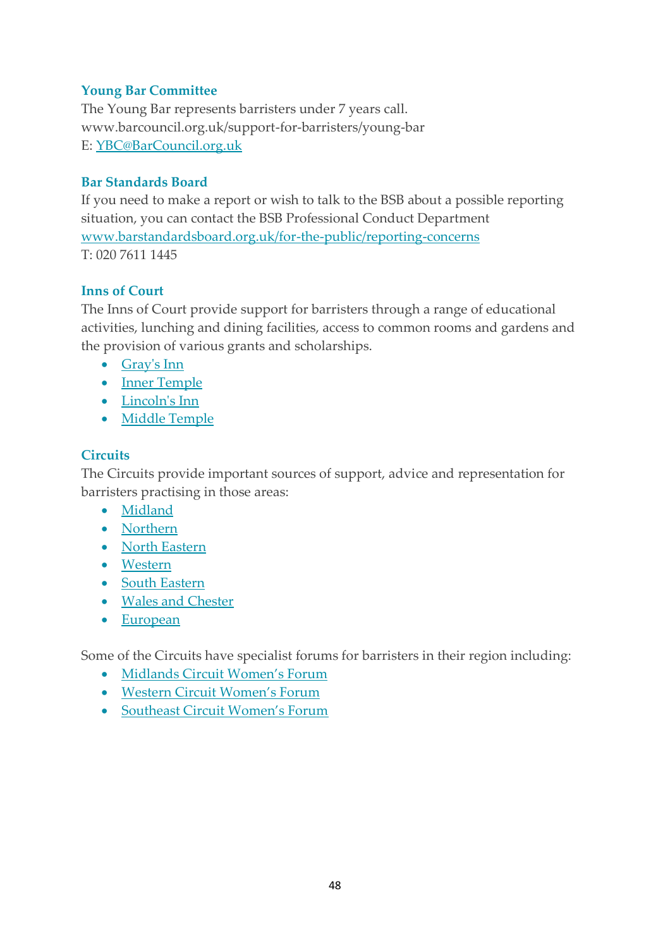# **Young Bar Committee**

The Young Bar represents barristers under 7 years call. www.barcouncil.org.uk/support-for-barristers/young-bar E: [YBC@BarCouncil.org.uk](javascript:void(location.href=)

# **Bar Standards Board**

If you need to make a report or wish to talk to the BSB about a possible reporting situation, you can contact the BSB Professional Conduct Department www.barstandardsboard.org.uk/for-the-public/reporting-concerns T: 020 7611 1445

# **Inns of Court**

The Inns of Court provide support for barristers through a range of educational activities, lunching and dining facilities, access to common rooms and gardens and the provision of various grants and scholarships.

- [Gray's Inn](https://www.graysinn.org.uk/)
- [Inner Temple](https://www.innertemple.org.uk/)
- [Lincoln's Inn](https://www.lincolnsinn.org.uk/)
- [Middle Temple](https://www.middletemple.org.uk/)

# **Circuits**

The Circuits provide important sources of support, advice and representation for barristers practising in those areas:

- [Midland](http://www.midlandcircuit.co.uk/)
- [Northern](http://www.northerncircuit.org.uk/)
- [North Eastern](http://www.northeasterncircuit.co.uk/)
- [Western](http://www.westerncircuit.org.uk/)
- [South Eastern](http://www.southeastcircuit.org.uk/)
- [Wales and Chester](http://www.walesandchestercircuit.org.uk/)
- [European](http://www.europeancircuit.com/)

Some of the Circuits have specialist forums for barristers in their region including:

- [Midlands Circuit Women's Forum](https://www.midlandcircuit.co.uk/women-mentoring-and-forum)
- West[ern Circuit Women's Forum](https://westerncircuit.co.uk/womens-forum/)
- [Southeast Circuit Women's Forum](https://southeastcircuit.org.uk/women-forum/contact-us)